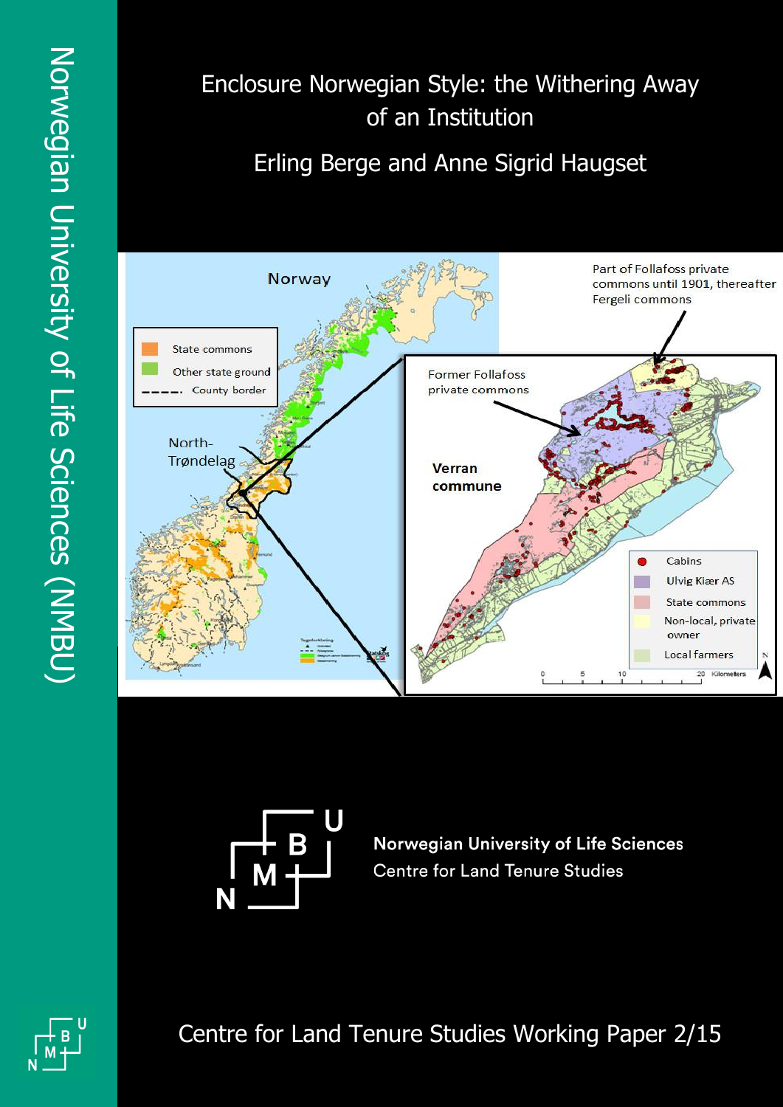# Enclosure Norwegian Style: the Withering Away of an Institution

Erling Berge and Anne Sigrid Haugset





**Norwegian University of Life Sciences Centre for Land Tenure Studies** 

Centre for Land Tenure Studies Working Paper 2/15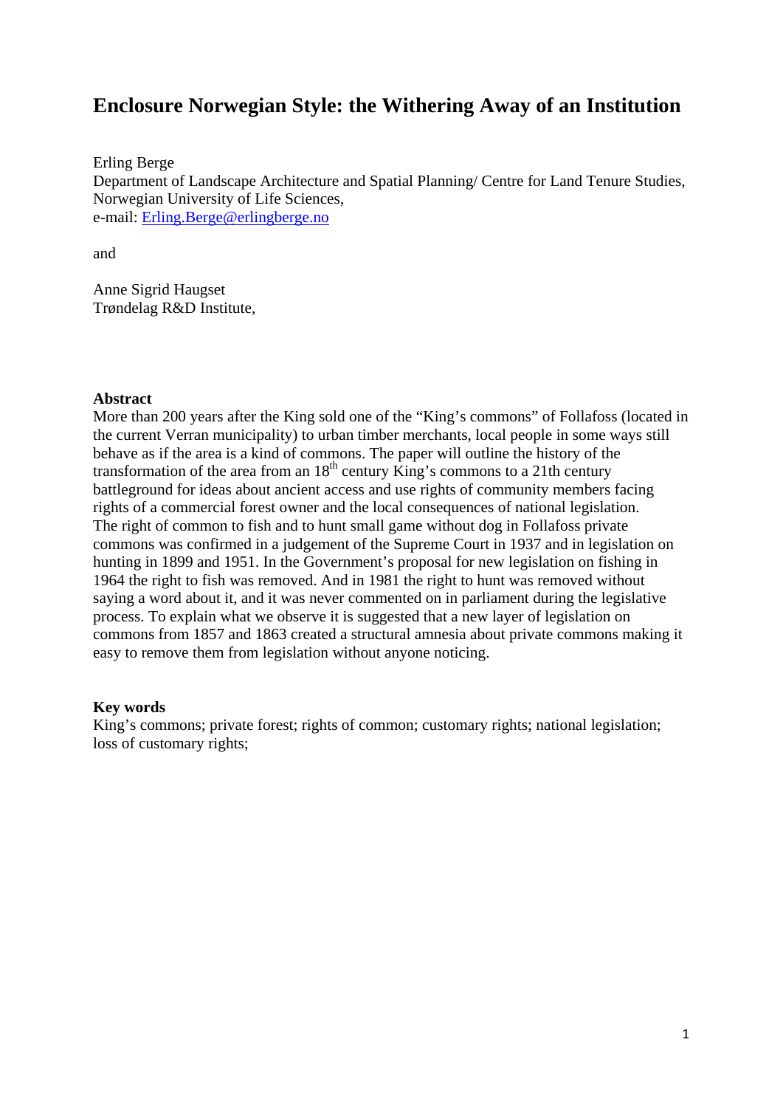# **Enclosure Norwegian Style: the Withering Away of an Institution**

Erling Berge Department of Landscape Architecture and Spatial Planning/ Centre for Land Tenure Studies, Norwegian University of Life Sciences, e-mail: Erling.Berge@erlingberge.no

and

Anne Sigrid Haugset Trøndelag R&D Institute,

#### **Abstract**

More than 200 years after the King sold one of the "King's commons" of Follafoss (located in the current Verran municipality) to urban timber merchants, local people in some ways still behave as if the area is a kind of commons. The paper will outline the history of the transformation of the area from an  $18<sup>th</sup>$  century King's commons to a 21th century battleground for ideas about ancient access and use rights of community members facing rights of a commercial forest owner and the local consequences of national legislation. The right of common to fish and to hunt small game without dog in Follafoss private commons was confirmed in a judgement of the Supreme Court in 1937 and in legislation on hunting in 1899 and 1951. In the Government's proposal for new legislation on fishing in 1964 the right to fish was removed. And in 1981 the right to hunt was removed without saying a word about it, and it was never commented on in parliament during the legislative process. To explain what we observe it is suggested that a new layer of legislation on commons from 1857 and 1863 created a structural amnesia about private commons making it easy to remove them from legislation without anyone noticing.

#### **Key words**

King's commons; private forest; rights of common; customary rights; national legislation; loss of customary rights;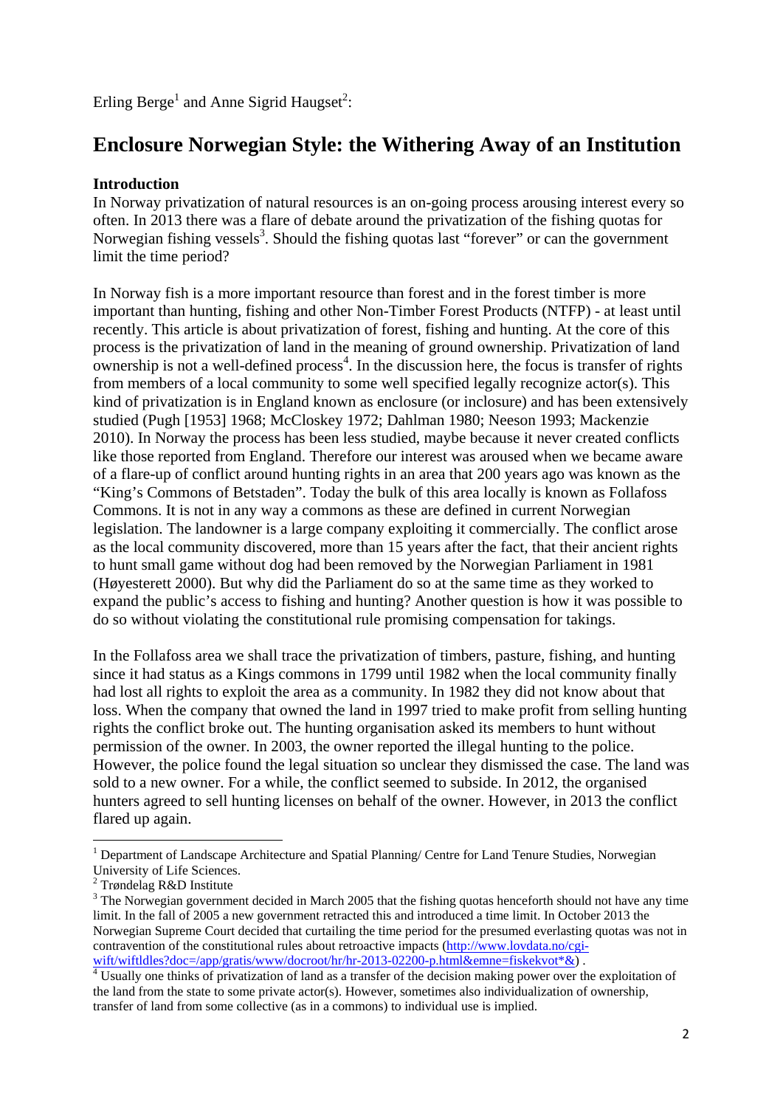Erling Berge<sup>1</sup> and Anne Sigrid Haugset<sup>2</sup>:

# **Enclosure Norwegian Style: the Withering Away of an Institution**

## **Introduction**

In Norway privatization of natural resources is an on-going process arousing interest every so often. In 2013 there was a flare of debate around the privatization of the fishing quotas for Norwegian fishing vessels<sup>3</sup>. Should the fishing quotas last "forever" or can the government limit the time period?

In Norway fish is a more important resource than forest and in the forest timber is more important than hunting, fishing and other Non-Timber Forest Products (NTFP) - at least until recently. This article is about privatization of forest, fishing and hunting. At the core of this process is the privatization of land in the meaning of ground ownership. Privatization of land  $\alpha$  ownership is not a well-defined process<sup>4</sup>. In the discussion here, the focus is transfer of rights from members of a local community to some well specified legally recognize actor(s). This kind of privatization is in England known as enclosure (or inclosure) and has been extensively studied (Pugh [1953] 1968; McCloskey 1972; Dahlman 1980; Neeson 1993; Mackenzie 2010). In Norway the process has been less studied, maybe because it never created conflicts like those reported from England. Therefore our interest was aroused when we became aware of a flare-up of conflict around hunting rights in an area that 200 years ago was known as the "King's Commons of Betstaden". Today the bulk of this area locally is known as Follafoss Commons. It is not in any way a commons as these are defined in current Norwegian legislation. The landowner is a large company exploiting it commercially. The conflict arose as the local community discovered, more than 15 years after the fact, that their ancient rights to hunt small game without dog had been removed by the Norwegian Parliament in 1981 (Høyesterett 2000). But why did the Parliament do so at the same time as they worked to expand the public's access to fishing and hunting? Another question is how it was possible to do so without violating the constitutional rule promising compensation for takings.

In the Follafoss area we shall trace the privatization of timbers, pasture, fishing, and hunting since it had status as a Kings commons in 1799 until 1982 when the local community finally had lost all rights to exploit the area as a community. In 1982 they did not know about that loss. When the company that owned the land in 1997 tried to make profit from selling hunting rights the conflict broke out. The hunting organisation asked its members to hunt without permission of the owner. In 2003, the owner reported the illegal hunting to the police. However, the police found the legal situation so unclear they dismissed the case. The land was sold to a new owner. For a while, the conflict seemed to subside. In 2012, the organised hunters agreed to sell hunting licenses on behalf of the owner. However, in 2013 the conflict flared up again.

<sup>&</sup>lt;sup>1</sup> Department of Landscape Architecture and Spatial Planning/ Centre for Land Tenure Studies, Norwegian University of Life Sciences.

<sup>2</sup> Trøndelag R&D Institute

<sup>&</sup>lt;sup>3</sup> The Norwegian government decided in March 2005 that the fishing quotas henceforth should not have any time limit. In the fall of 2005 a new government retracted this and introduced a time limit. In October 2013 the Norwegian Supreme Court decided that curtailing the time period for the presumed everlasting quotas was not in contravention of the constitutional rules about retroactive impacts (http://www.lovdata.no/cgiwift/wiftldles?doc=/app/gratis/www/docroot/hr/hr-2013-02200-p.html&emne=fiskekvot\*&).

<sup>&</sup>lt;sup>4</sup> Usually one thinks of privatization of land as a transfer of the decision making power over the exploitation of the land from the state to some private actor(s). However, sometimes also individualization of ownership, transfer of land from some collective (as in a commons) to individual use is implied.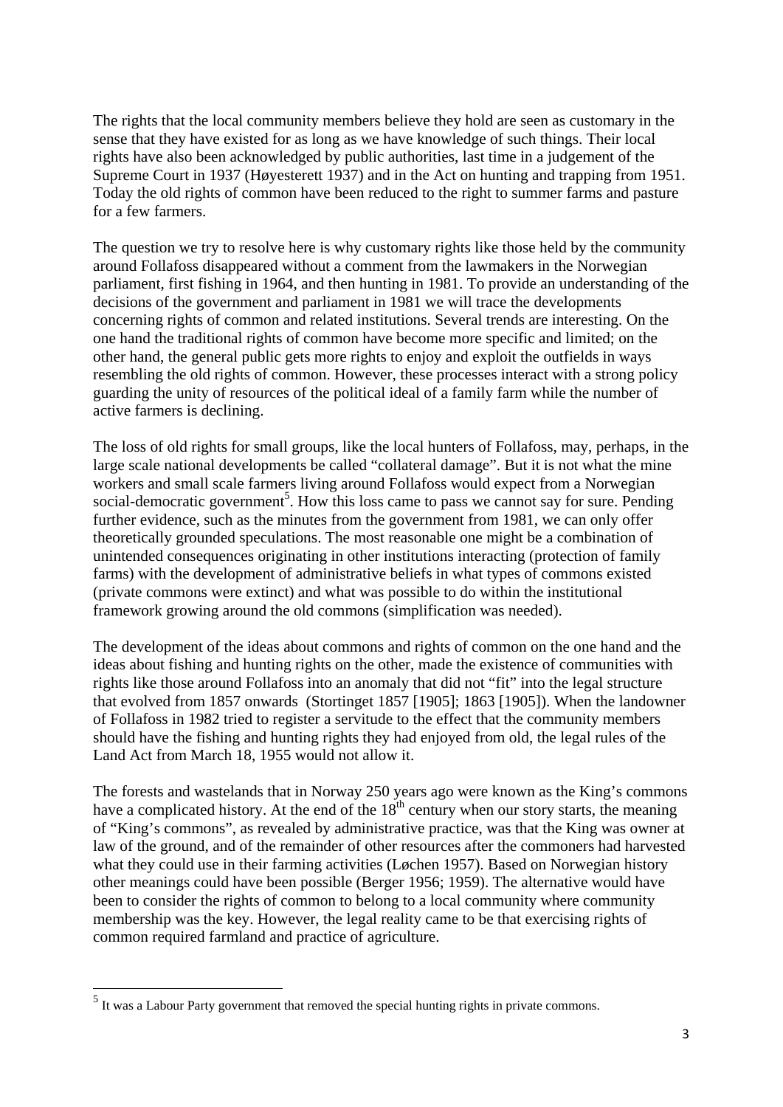The rights that the local community members believe they hold are seen as customary in the sense that they have existed for as long as we have knowledge of such things. Their local rights have also been acknowledged by public authorities, last time in a judgement of the Supreme Court in 1937 (Høyesterett 1937) and in the Act on hunting and trapping from 1951. Today the old rights of common have been reduced to the right to summer farms and pasture for a few farmers.

The question we try to resolve here is why customary rights like those held by the community around Follafoss disappeared without a comment from the lawmakers in the Norwegian parliament, first fishing in 1964, and then hunting in 1981. To provide an understanding of the decisions of the government and parliament in 1981 we will trace the developments concerning rights of common and related institutions. Several trends are interesting. On the one hand the traditional rights of common have become more specific and limited; on the other hand, the general public gets more rights to enjoy and exploit the outfields in ways resembling the old rights of common. However, these processes interact with a strong policy guarding the unity of resources of the political ideal of a family farm while the number of active farmers is declining.

The loss of old rights for small groups, like the local hunters of Follafoss, may, perhaps, in the large scale national developments be called "collateral damage". But it is not what the mine workers and small scale farmers living around Follafoss would expect from a Norwegian social-democratic government<sup>5</sup>. How this loss came to pass we cannot say for sure. Pending further evidence, such as the minutes from the government from 1981, we can only offer theoretically grounded speculations. The most reasonable one might be a combination of unintended consequences originating in other institutions interacting (protection of family farms) with the development of administrative beliefs in what types of commons existed (private commons were extinct) and what was possible to do within the institutional framework growing around the old commons (simplification was needed).

The development of the ideas about commons and rights of common on the one hand and the ideas about fishing and hunting rights on the other, made the existence of communities with rights like those around Follafoss into an anomaly that did not "fit" into the legal structure that evolved from 1857 onwards (Stortinget 1857 [1905]; 1863 [1905]). When the landowner of Follafoss in 1982 tried to register a servitude to the effect that the community members should have the fishing and hunting rights they had enjoyed from old, the legal rules of the Land Act from March 18, 1955 would not allow it.

The forests and wastelands that in Norway 250 years ago were known as the King's commons have a complicated history. At the end of the  $18<sup>th</sup>$  century when our story starts, the meaning of "King's commons", as revealed by administrative practice, was that the King was owner at law of the ground, and of the remainder of other resources after the commoners had harvested what they could use in their farming activities (Løchen 1957). Based on Norwegian history other meanings could have been possible (Berger 1956; 1959). The alternative would have been to consider the rights of common to belong to a local community where community membership was the key. However, the legal reality came to be that exercising rights of common required farmland and practice of agriculture.

<sup>&</sup>lt;sup>5</sup><br><sup>5</sup> It was a Labour Party government that removed the special hunting rights in private commons.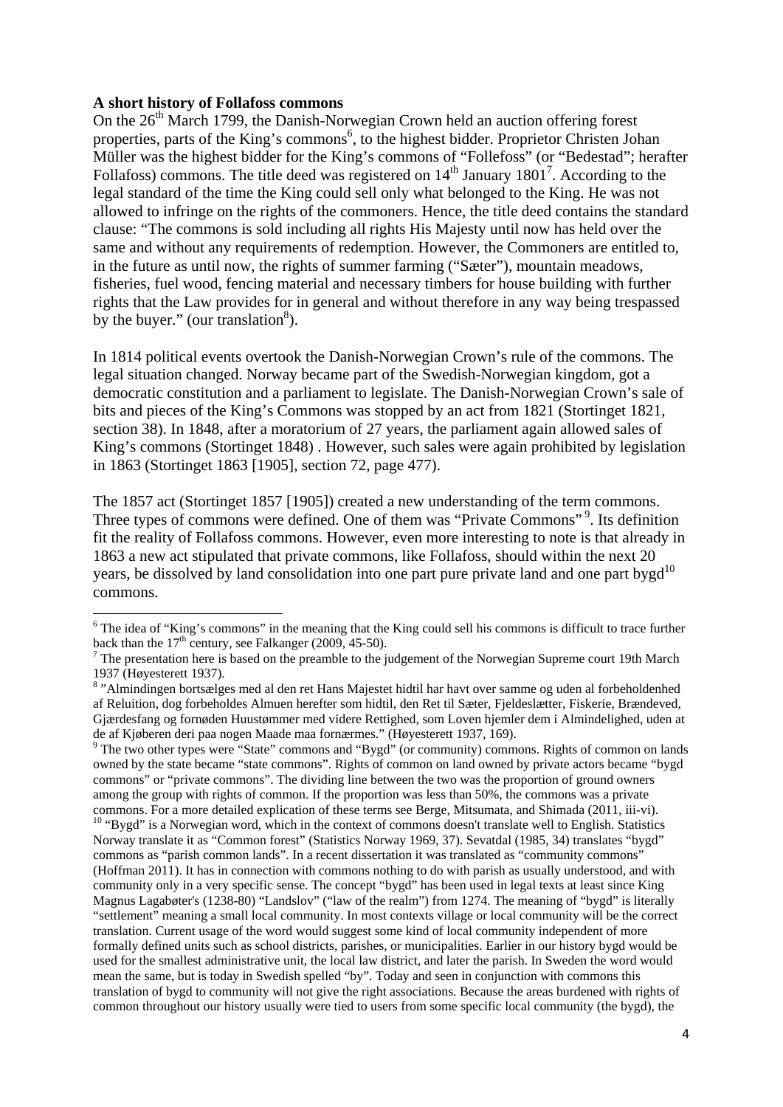#### **A short history of Follafoss commons**

<u>.</u>

On the  $26<sup>th</sup>$  March 1799, the Danish-Norwegian Crown held an auction offering forest properties, parts of the King's commons<sup>6</sup>, to the highest bidder. Proprietor Christen Johan Müller was the highest bidder for the King's commons of "Follefoss" (or "Bedestad"; herafter Follafoss) commons. The title deed was registered on  $14<sup>th</sup>$  January  $1801<sup>7</sup>$ . According to the legal standard of the time the King could sell only what belonged to the King. He was not allowed to infringe on the rights of the commoners. Hence, the title deed contains the standard clause: "The commons is sold including all rights His Majesty until now has held over the same and without any requirements of redemption. However, the Commoners are entitled to, in the future as until now, the rights of summer farming ("Sæter"), mountain meadows, fisheries, fuel wood, fencing material and necessary timbers for house building with further rights that the Law provides for in general and without therefore in any way being trespassed by the buyer." (our translation $^{8}$ ).

In 1814 political events overtook the Danish-Norwegian Crown's rule of the commons. The legal situation changed. Norway became part of the Swedish-Norwegian kingdom, got a democratic constitution and a parliament to legislate. The Danish-Norwegian Crown's sale of bits and pieces of the King's Commons was stopped by an act from 1821 (Stortinget 1821, section 38). In 1848, after a moratorium of 27 years, the parliament again allowed sales of King's commons (Stortinget 1848) . However, such sales were again prohibited by legislation in 1863 (Stortinget 1863 [1905], section 72, page 477).

The 1857 act (Stortinget 1857 [1905]) created a new understanding of the term commons. Three types of commons were defined. One of them was "Private Commons"<sup>9</sup>. Its definition fit the reality of Follafoss commons. However, even more interesting to note is that already in 1863 a new act stipulated that private commons, like Follafoss, should within the next 20 years, be dissolved by land consolidation into one part pure private land and one part bygd<sup>10</sup> commons.

 $6$  The idea of "King's commons" in the meaning that the King could sell his commons is difficult to trace further back than the  $17<sup>th</sup>$  century, see Falkanger (2009, 45-50).

 $<sup>7</sup>$  The presentation here is based on the preamble to the judgement of the Norwegian Supreme court 19th March</sup> 1937 (Høyesterett 1937).

<sup>&</sup>lt;sup>8</sup> "Almindingen bortsælges med al den ret Hans Majestet hidtil har havt over samme og uden al forbeholdenhed af Reluition, dog forbeholdes Almuen herefter som hidtil, den Ret til Sæter, Fjeldeslætter, Fiskerie, Brændeved, Gjærdesfang og fornøden Huustømmer med videre Rettighed, som Loven hjemler dem i Almindelighed, uden at de af Kjøberen deri paa nogen Maade maa fornærmes." (Høyesterett 1937, 169).

<sup>&</sup>lt;sup>9</sup> The two other types were "State" commons and "Bygd" (or community) commons. Rights of common on lands owned by the state became "state commons". Rights of common on land owned by private actors became "bygd commons" or "private commons". The dividing line between the two was the proportion of ground owners among the group with rights of common. If the proportion was less than 50%, the commons was a private

commons. For a more detailed explication of these terms see Berge, Mitsumata, and Shimada (2011, iii-vi). 10 "Bygd" is a Norwegian word, which in the context of commons doesn't translate well to English. Statistics Norway translate it as "Common forest" (Statistics Norway 1969, 37). Sevatdal (1985, 34) translates "bygd" commons as "parish common lands". In a recent dissertation it was translated as "community commons" (Hoffman 2011). It has in connection with commons nothing to do with parish as usually understood, and with community only in a very specific sense. The concept "bygd" has been used in legal texts at least since King Magnus Lagabøter's (1238-80) "Landslov" ("law of the realm") from 1274. The meaning of "bygd" is literally "settlement" meaning a small local community. In most contexts village or local community will be the correct translation. Current usage of the word would suggest some kind of local community independent of more formally defined units such as school districts, parishes, or municipalities. Earlier in our history bygd would be used for the smallest administrative unit, the local law district, and later the parish. In Sweden the word would mean the same, but is today in Swedish spelled "by". Today and seen in conjunction with commons this translation of bygd to community will not give the right associations. Because the areas burdened with rights of common throughout our history usually were tied to users from some specific local community (the bygd), the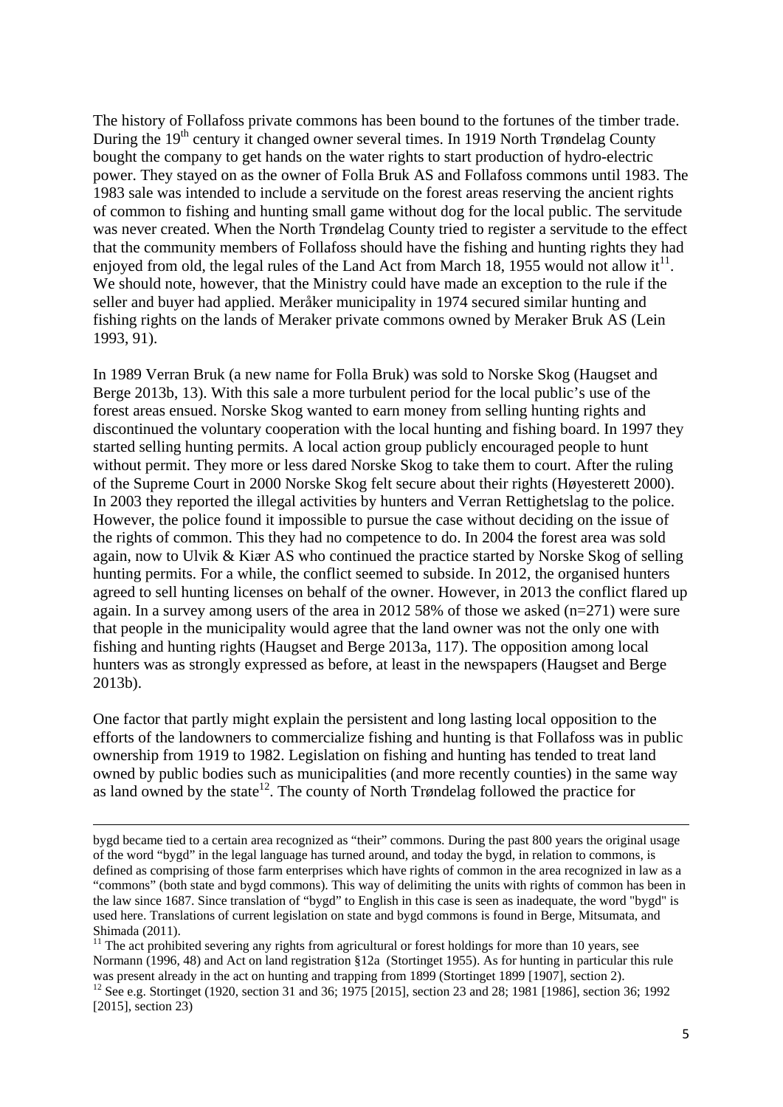The history of Follafoss private commons has been bound to the fortunes of the timber trade. During the  $19<sup>th</sup>$  century it changed owner several times. In 1919 North Trøndelag County bought the company to get hands on the water rights to start production of hydro-electric power. They stayed on as the owner of Folla Bruk AS and Follafoss commons until 1983. The 1983 sale was intended to include a servitude on the forest areas reserving the ancient rights of common to fishing and hunting small game without dog for the local public. The servitude was never created. When the North Trøndelag County tried to register a servitude to the effect that the community members of Follafoss should have the fishing and hunting rights they had enjoyed from old, the legal rules of the Land Act from March 18, 1955 would not allow it<sup>11</sup>. We should note, however, that the Ministry could have made an exception to the rule if the seller and buyer had applied. Meråker municipality in 1974 secured similar hunting and fishing rights on the lands of Meraker private commons owned by Meraker Bruk AS (Lein 1993, 91).

In 1989 Verran Bruk (a new name for Folla Bruk) was sold to Norske Skog (Haugset and Berge 2013b, 13). With this sale a more turbulent period for the local public's use of the forest areas ensued. Norske Skog wanted to earn money from selling hunting rights and discontinued the voluntary cooperation with the local hunting and fishing board. In 1997 they started selling hunting permits. A local action group publicly encouraged people to hunt without permit. They more or less dared Norske Skog to take them to court. After the ruling of the Supreme Court in 2000 Norske Skog felt secure about their rights (Høyesterett 2000). In 2003 they reported the illegal activities by hunters and Verran Rettighetslag to the police. However, the police found it impossible to pursue the case without deciding on the issue of the rights of common. This they had no competence to do. In 2004 the forest area was sold again, now to Ulvik & Kiær AS who continued the practice started by Norske Skog of selling hunting permits. For a while, the conflict seemed to subside. In 2012, the organised hunters agreed to sell hunting licenses on behalf of the owner. However, in 2013 the conflict flared up again. In a survey among users of the area in 2012 58% of those we asked (n=271) were sure that people in the municipality would agree that the land owner was not the only one with fishing and hunting rights (Haugset and Berge 2013a, 117). The opposition among local hunters was as strongly expressed as before, at least in the newspapers (Haugset and Berge 2013b).

One factor that partly might explain the persistent and long lasting local opposition to the efforts of the landowners to commercialize fishing and hunting is that Follafoss was in public ownership from 1919 to 1982. Legislation on fishing and hunting has tended to treat land owned by public bodies such as municipalities (and more recently counties) in the same way as land owned by the state<sup>12</sup>. The county of North Trøndelag followed the practice for

bygd became tied to a certain area recognized as "their" commons. During the past 800 years the original usage of the word "bygd" in the legal language has turned around, and today the bygd, in relation to commons, is defined as comprising of those farm enterprises which have rights of common in the area recognized in law as a "commons" (both state and bygd commons). This way of delimiting the units with rights of common has been in the law since 1687. Since translation of "bygd" to English in this case is seen as inadequate, the word "bygd" is used here. Translations of current legislation on state and bygd commons is found in Berge, Mitsumata, and Shimada (2011).

 $11$  The act prohibited severing any rights from agricultural or forest holdings for more than 10 years, see Normann (1996, 48) and Act on land registration §12a (Stortinget 1955). As for hunting in particular this rule was present already in the act on hunting and trapping from 1899 (Stortinget 1899 [1907], section 2).

<sup>&</sup>lt;sup>12</sup> See e.g. Stortinget (1920, section 31 and 36; 1975 [2015], section 23 and 28; 1981 [1986], section 36; 1992 [2015], section 23)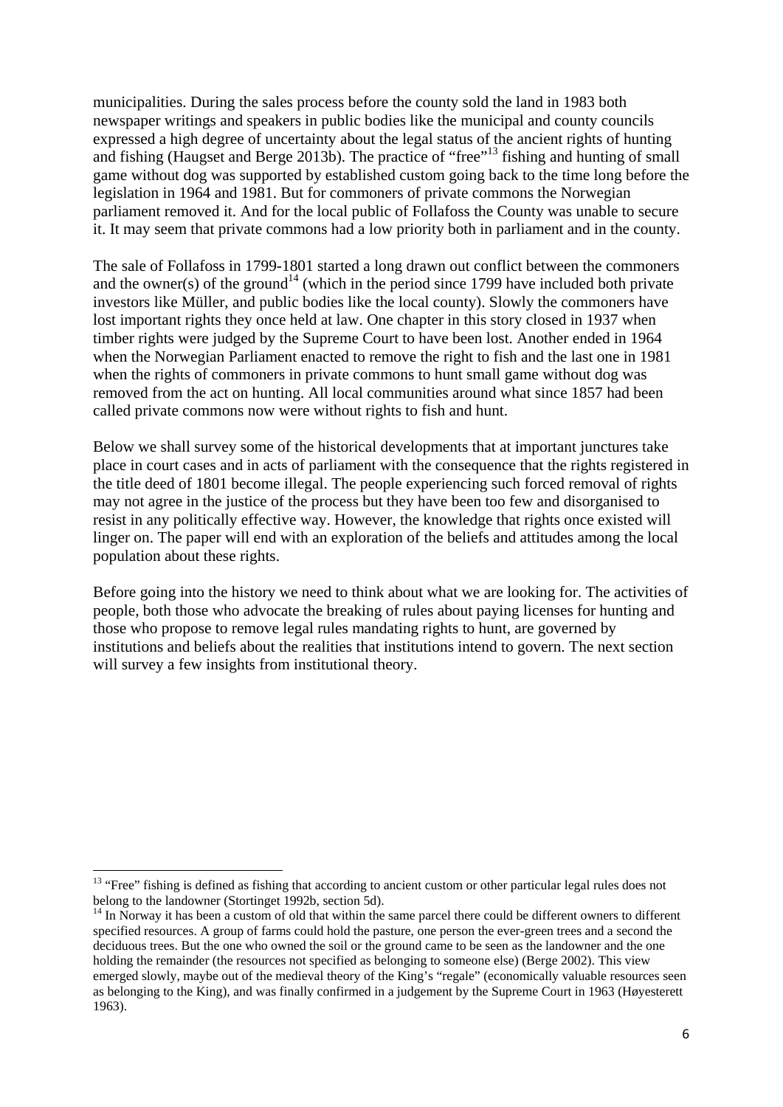municipalities. During the sales process before the county sold the land in 1983 both newspaper writings and speakers in public bodies like the municipal and county councils expressed a high degree of uncertainty about the legal status of the ancient rights of hunting and fishing (Haugset and Berge 2013b). The practice of "free"13 fishing and hunting of small game without dog was supported by established custom going back to the time long before the legislation in 1964 and 1981. But for commoners of private commons the Norwegian parliament removed it. And for the local public of Follafoss the County was unable to secure it. It may seem that private commons had a low priority both in parliament and in the county.

The sale of Follafoss in 1799-1801 started a long drawn out conflict between the commoners and the owner(s) of the ground<sup>14</sup> (which in the period since 1799 have included both private investors like Müller, and public bodies like the local county). Slowly the commoners have lost important rights they once held at law. One chapter in this story closed in 1937 when timber rights were judged by the Supreme Court to have been lost. Another ended in 1964 when the Norwegian Parliament enacted to remove the right to fish and the last one in 1981 when the rights of commoners in private commons to hunt small game without dog was removed from the act on hunting. All local communities around what since 1857 had been called private commons now were without rights to fish and hunt.

Below we shall survey some of the historical developments that at important junctures take place in court cases and in acts of parliament with the consequence that the rights registered in the title deed of 1801 become illegal. The people experiencing such forced removal of rights may not agree in the justice of the process but they have been too few and disorganised to resist in any politically effective way. However, the knowledge that rights once existed will linger on. The paper will end with an exploration of the beliefs and attitudes among the local population about these rights.

Before going into the history we need to think about what we are looking for. The activities of people, both those who advocate the breaking of rules about paying licenses for hunting and those who propose to remove legal rules mandating rights to hunt, are governed by institutions and beliefs about the realities that institutions intend to govern. The next section will survey a few insights from institutional theory.

<sup>&</sup>lt;sup>13</sup> "Free" fishing is defined as fishing that according to ancient custom or other particular legal rules does not belong to the landowner (Stortinget 1992b, section 5d).

 $14$  In Norway it has been a custom of old that within the same parcel there could be different owners to different specified resources. A group of farms could hold the pasture, one person the ever-green trees and a second the deciduous trees. But the one who owned the soil or the ground came to be seen as the landowner and the one holding the remainder (the resources not specified as belonging to someone else) (Berge 2002). This view emerged slowly, maybe out of the medieval theory of the King's "regale" (economically valuable resources seen as belonging to the King), and was finally confirmed in a judgement by the Supreme Court in 1963 (Høyesterett 1963).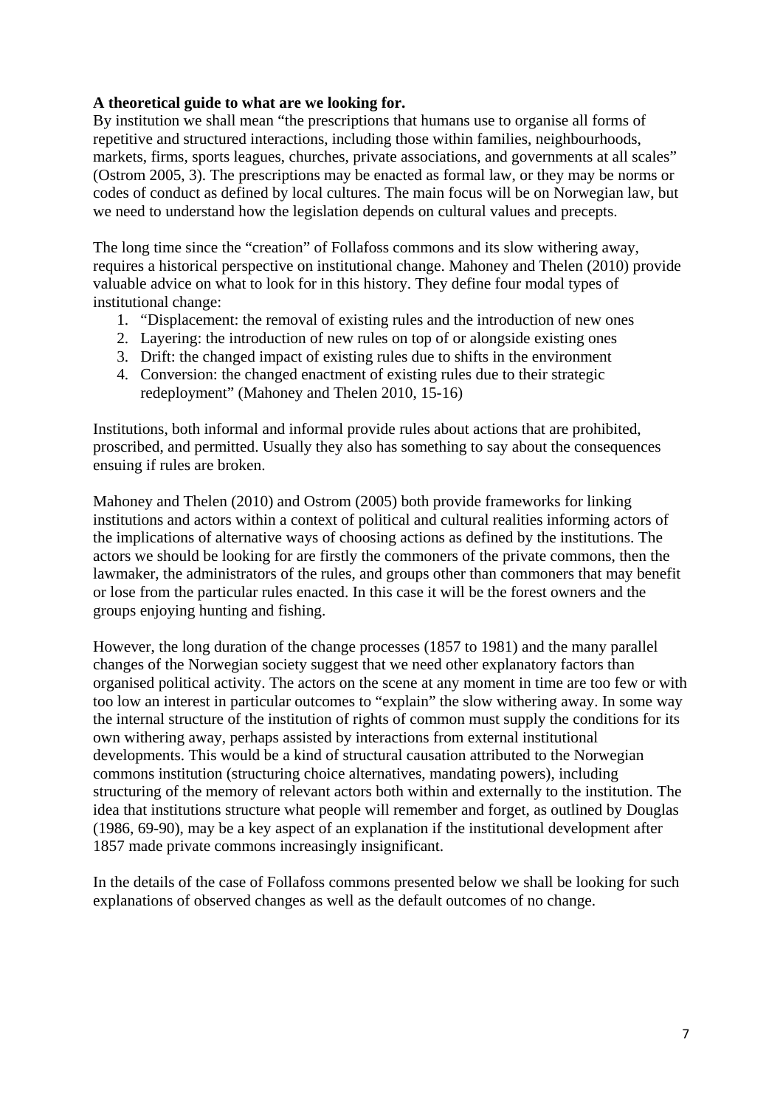# **A theoretical guide to what are we looking for.**

By institution we shall mean "the prescriptions that humans use to organise all forms of repetitive and structured interactions, including those within families, neighbourhoods, markets, firms, sports leagues, churches, private associations, and governments at all scales" (Ostrom 2005, 3). The prescriptions may be enacted as formal law, or they may be norms or codes of conduct as defined by local cultures. The main focus will be on Norwegian law, but we need to understand how the legislation depends on cultural values and precepts.

The long time since the "creation" of Follafoss commons and its slow withering away, requires a historical perspective on institutional change. Mahoney and Thelen (2010) provide valuable advice on what to look for in this history. They define four modal types of institutional change:

- 1. "Displacement: the removal of existing rules and the introduction of new ones
- 2. Layering: the introduction of new rules on top of or alongside existing ones
- 3. Drift: the changed impact of existing rules due to shifts in the environment
- 4. Conversion: the changed enactment of existing rules due to their strategic redeployment" (Mahoney and Thelen 2010, 15-16)

Institutions, both informal and informal provide rules about actions that are prohibited, proscribed, and permitted. Usually they also has something to say about the consequences ensuing if rules are broken.

Mahoney and Thelen (2010) and Ostrom (2005) both provide frameworks for linking institutions and actors within a context of political and cultural realities informing actors of the implications of alternative ways of choosing actions as defined by the institutions. The actors we should be looking for are firstly the commoners of the private commons, then the lawmaker, the administrators of the rules, and groups other than commoners that may benefit or lose from the particular rules enacted. In this case it will be the forest owners and the groups enjoying hunting and fishing.

However, the long duration of the change processes (1857 to 1981) and the many parallel changes of the Norwegian society suggest that we need other explanatory factors than organised political activity. The actors on the scene at any moment in time are too few or with too low an interest in particular outcomes to "explain" the slow withering away. In some way the internal structure of the institution of rights of common must supply the conditions for its own withering away, perhaps assisted by interactions from external institutional developments. This would be a kind of structural causation attributed to the Norwegian commons institution (structuring choice alternatives, mandating powers), including structuring of the memory of relevant actors both within and externally to the institution. The idea that institutions structure what people will remember and forget, as outlined by Douglas (1986, 69-90), may be a key aspect of an explanation if the institutional development after 1857 made private commons increasingly insignificant.

In the details of the case of Follafoss commons presented below we shall be looking for such explanations of observed changes as well as the default outcomes of no change.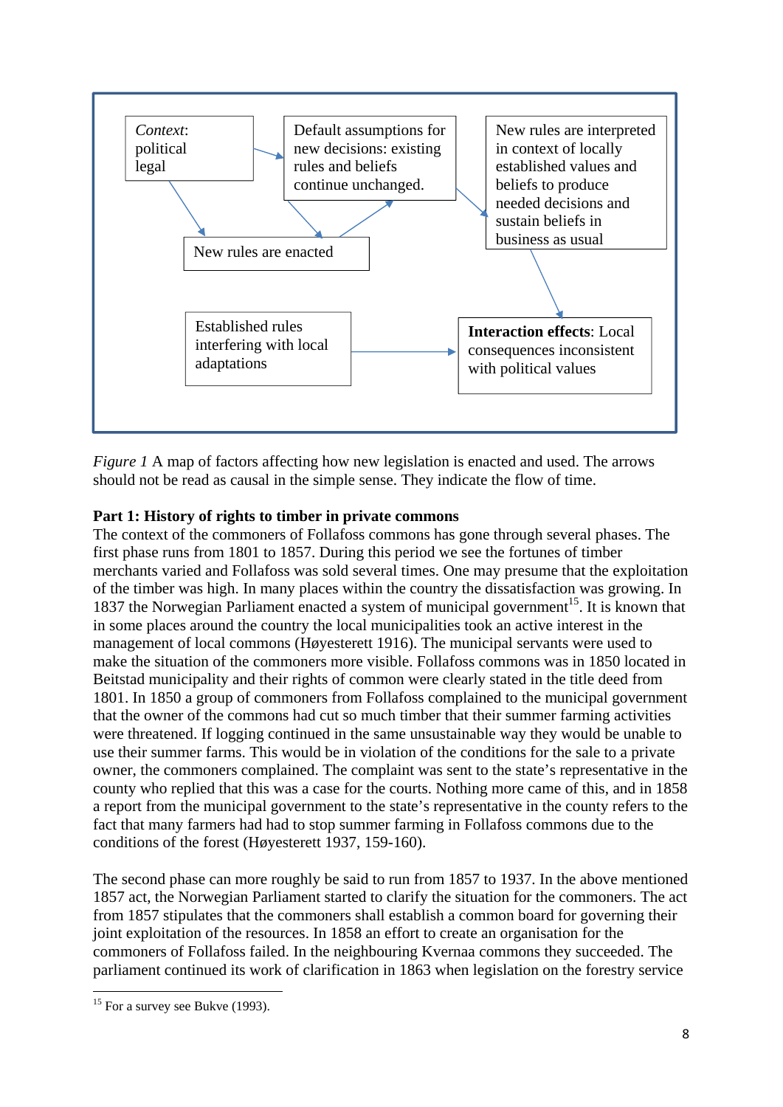

*Figure 1* A map of factors affecting how new legislation is enacted and used. The arrows should not be read as causal in the simple sense. They indicate the flow of time.

# **Part 1: History of rights to timber in private commons**

The context of the commoners of Follafoss commons has gone through several phases. The first phase runs from 1801 to 1857. During this period we see the fortunes of timber merchants varied and Follafoss was sold several times. One may presume that the exploitation of the timber was high. In many places within the country the dissatisfaction was growing. In 1837 the Norwegian Parliament enacted a system of municipal government<sup>15</sup>. It is known that in some places around the country the local municipalities took an active interest in the management of local commons (Høyesterett 1916). The municipal servants were used to make the situation of the commoners more visible. Follafoss commons was in 1850 located in Beitstad municipality and their rights of common were clearly stated in the title deed from 1801. In 1850 a group of commoners from Follafoss complained to the municipal government that the owner of the commons had cut so much timber that their summer farming activities were threatened. If logging continued in the same unsustainable way they would be unable to use their summer farms. This would be in violation of the conditions for the sale to a private owner, the commoners complained. The complaint was sent to the state's representative in the county who replied that this was a case for the courts. Nothing more came of this, and in 1858 a report from the municipal government to the state's representative in the county refers to the fact that many farmers had had to stop summer farming in Follafoss commons due to the conditions of the forest (Høyesterett 1937, 159-160).

The second phase can more roughly be said to run from 1857 to 1937. In the above mentioned 1857 act, the Norwegian Parliament started to clarify the situation for the commoners. The act from 1857 stipulates that the commoners shall establish a common board for governing their joint exploitation of the resources. In 1858 an effort to create an organisation for the commoners of Follafoss failed. In the neighbouring Kvernaa commons they succeeded. The parliament continued its work of clarification in 1863 when legislation on the forestry service

<sup>1</sup>  $15$  For a survey see Bukve (1993).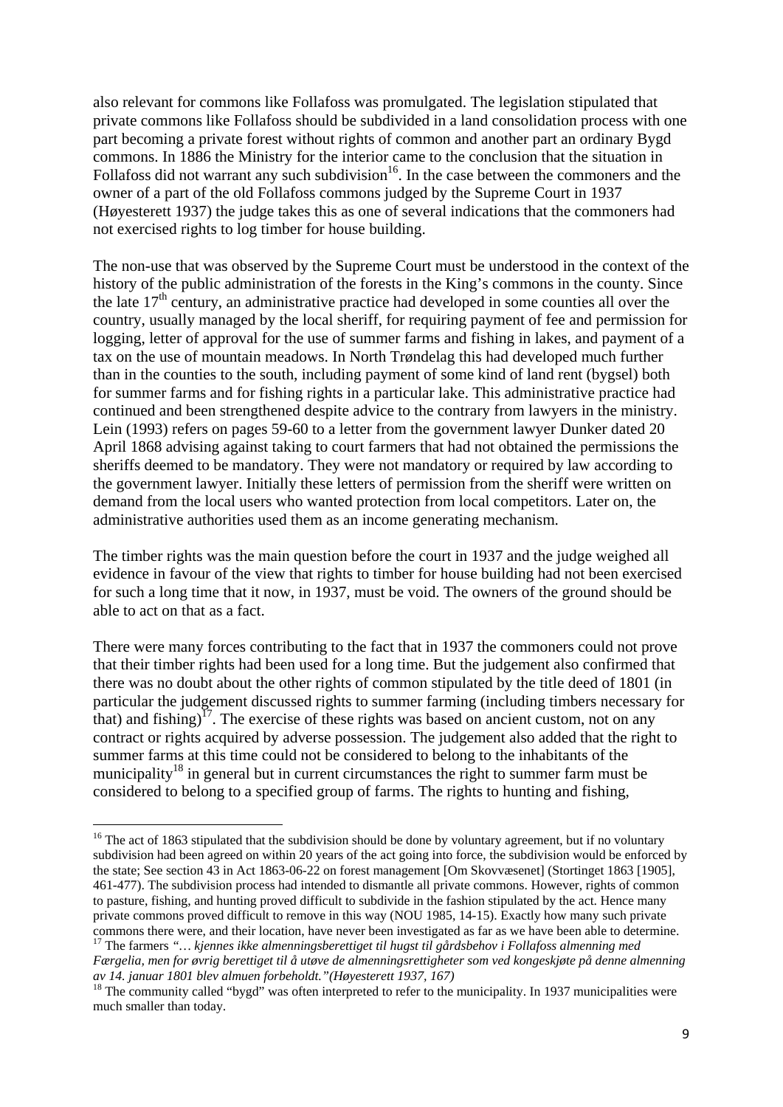also relevant for commons like Follafoss was promulgated. The legislation stipulated that private commons like Follafoss should be subdivided in a land consolidation process with one part becoming a private forest without rights of common and another part an ordinary Bygd commons. In 1886 the Ministry for the interior came to the conclusion that the situation in Follafoss did not warrant any such subdivision<sup>16</sup>. In the case between the commoners and the owner of a part of the old Follafoss commons judged by the Supreme Court in 1937 (Høyesterett 1937) the judge takes this as one of several indications that the commoners had not exercised rights to log timber for house building.

The non-use that was observed by the Supreme Court must be understood in the context of the history of the public administration of the forests in the King's commons in the county. Since the late 17th century, an administrative practice had developed in some counties all over the country, usually managed by the local sheriff, for requiring payment of fee and permission for logging, letter of approval for the use of summer farms and fishing in lakes, and payment of a tax on the use of mountain meadows. In North Trøndelag this had developed much further than in the counties to the south, including payment of some kind of land rent (bygsel) both for summer farms and for fishing rights in a particular lake. This administrative practice had continued and been strengthened despite advice to the contrary from lawyers in the ministry. Lein (1993) refers on pages 59-60 to a letter from the government lawyer Dunker dated 20 April 1868 advising against taking to court farmers that had not obtained the permissions the sheriffs deemed to be mandatory. They were not mandatory or required by law according to the government lawyer. Initially these letters of permission from the sheriff were written on demand from the local users who wanted protection from local competitors. Later on, the administrative authorities used them as an income generating mechanism.

The timber rights was the main question before the court in 1937 and the judge weighed all evidence in favour of the view that rights to timber for house building had not been exercised for such a long time that it now, in 1937, must be void. The owners of the ground should be able to act on that as a fact.

There were many forces contributing to the fact that in 1937 the commoners could not prove that their timber rights had been used for a long time. But the judgement also confirmed that there was no doubt about the other rights of common stipulated by the title deed of 1801 (in particular the judgement discussed rights to summer farming (including timbers necessary for that) and fishing)<sup>17</sup>. The exercise of these rights was based on ancient custom, not on any contract or rights acquired by adverse possession. The judgement also added that the right to summer farms at this time could not be considered to belong to the inhabitants of the municipality<sup>18</sup> in general but in current circumstances the right to summer farm must be considered to belong to a specified group of farms. The rights to hunting and fishing,

<sup>&</sup>lt;sup>16</sup> The act of 1863 stipulated that the subdivision should be done by voluntary agreement, but if no voluntary subdivision had been agreed on within 20 years of the act going into force, the subdivision would be enforced by the state; See section 43 in Act 1863-06-22 on forest management [Om Skovvæsenet] (Stortinget 1863 [1905], 461-477). The subdivision process had intended to dismantle all private commons. However, rights of common to pasture, fishing, and hunting proved difficult to subdivide in the fashion stipulated by the act. Hence many private commons proved difficult to remove in this way (NOU 1985, 14-15). Exactly how many such private commons there were, and their location, have never been investigated as far as we have been able to determine.

<sup>17</sup> The farmers *"… kjennes ikke almenningsberettiget til hugst til gårdsbehov i Follafoss almenning med Færgelia, men for øvrig berettiget til å utøve de almenningsrettigheter som ved kongeskjøte på denne almenning av 14. januar 1801 blev almuen forbeholdt."(Høyesterett 1937, 167)*

<sup>&</sup>lt;sup>18</sup> The community called "bygd" was often interpreted to refer to the municipality. In 1937 municipalities were much smaller than today.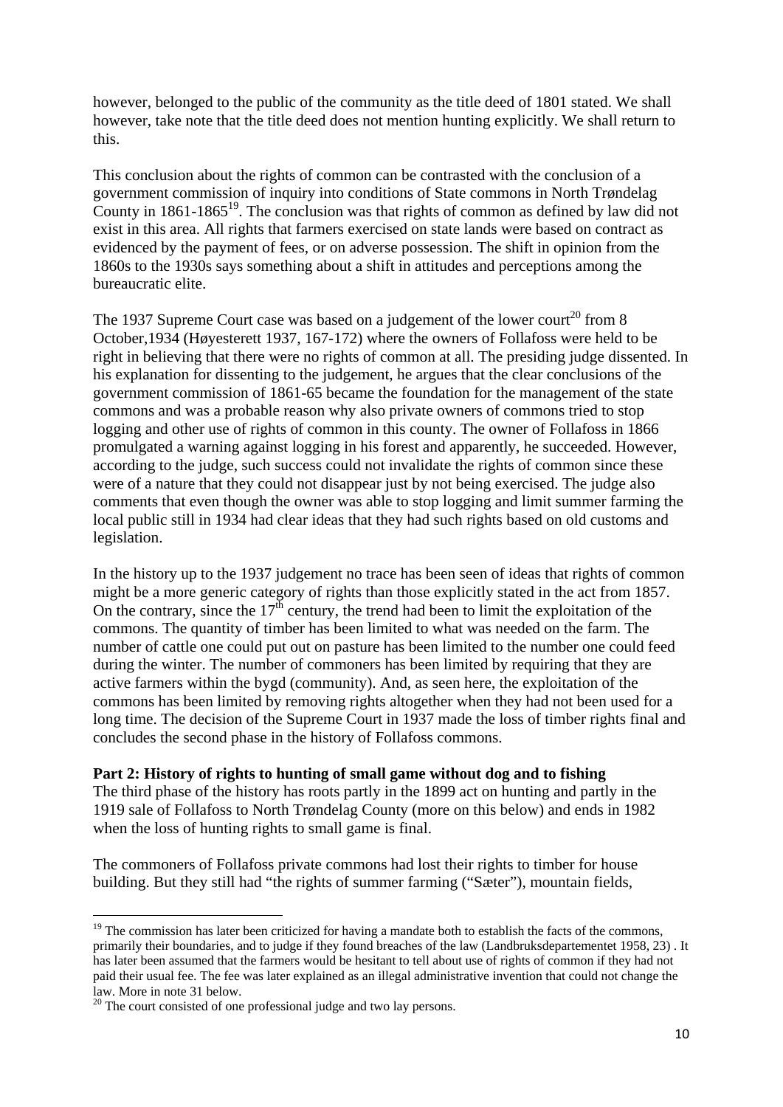however, belonged to the public of the community as the title deed of 1801 stated. We shall however, take note that the title deed does not mention hunting explicitly. We shall return to this.

This conclusion about the rights of common can be contrasted with the conclusion of a government commission of inquiry into conditions of State commons in North Trøndelag County in  $1861-1865^{19}$ . The conclusion was that rights of common as defined by law did not exist in this area. All rights that farmers exercised on state lands were based on contract as evidenced by the payment of fees, or on adverse possession. The shift in opinion from the 1860s to the 1930s says something about a shift in attitudes and perceptions among the bureaucratic elite.

The 1937 Supreme Court case was based on a judgement of the lower court<sup>20</sup> from 8 October,1934 (Høyesterett 1937, 167-172) where the owners of Follafoss were held to be right in believing that there were no rights of common at all. The presiding judge dissented. In his explanation for dissenting to the judgement, he argues that the clear conclusions of the government commission of 1861-65 became the foundation for the management of the state commons and was a probable reason why also private owners of commons tried to stop logging and other use of rights of common in this county. The owner of Follafoss in 1866 promulgated a warning against logging in his forest and apparently, he succeeded. However, according to the judge, such success could not invalidate the rights of common since these were of a nature that they could not disappear just by not being exercised. The judge also comments that even though the owner was able to stop logging and limit summer farming the local public still in 1934 had clear ideas that they had such rights based on old customs and legislation.

In the history up to the 1937 judgement no trace has been seen of ideas that rights of common might be a more generic category of rights than those explicitly stated in the act from 1857. On the contrary, since the  $17<sup>th</sup>$  century, the trend had been to limit the exploitation of the commons. The quantity of timber has been limited to what was needed on the farm. The number of cattle one could put out on pasture has been limited to the number one could feed during the winter. The number of commoners has been limited by requiring that they are active farmers within the bygd (community). And, as seen here, the exploitation of the commons has been limited by removing rights altogether when they had not been used for a long time. The decision of the Supreme Court in 1937 made the loss of timber rights final and concludes the second phase in the history of Follafoss commons.

#### **Part 2: History of rights to hunting of small game without dog and to fishing**

The third phase of the history has roots partly in the 1899 act on hunting and partly in the 1919 sale of Follafoss to North Trøndelag County (more on this below) and ends in 1982 when the loss of hunting rights to small game is final.

The commoners of Follafoss private commons had lost their rights to timber for house building. But they still had "the rights of summer farming ("Sæter"), mountain fields,

 $19$  The commission has later been criticized for having a mandate both to establish the facts of the commons, primarily their boundaries, and to judge if they found breaches of the law (Landbruksdepartementet 1958, 23) . It has later been assumed that the farmers would be hesitant to tell about use of rights of common if they had not paid their usual fee. The fee was later explained as an illegal administrative invention that could not change the law. More in note 31 below.

 $20$  The court consisted of one professional judge and two lay persons.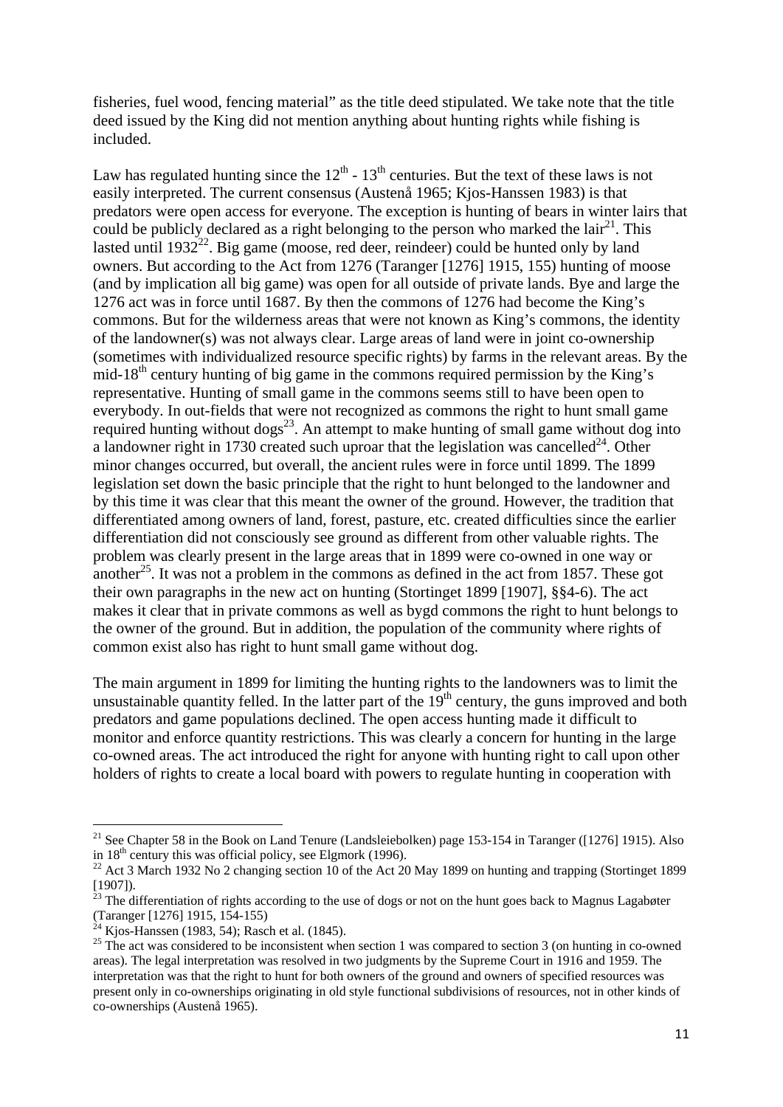fisheries, fuel wood, fencing material" as the title deed stipulated. We take note that the title deed issued by the King did not mention anything about hunting rights while fishing is included.

Law has regulated hunting since the  $12<sup>th</sup>$  -  $13<sup>th</sup>$  centuries. But the text of these laws is not easily interpreted. The current consensus (Austenå 1965; Kjos-Hanssen 1983) is that predators were open access for everyone. The exception is hunting of bears in winter lairs that could be publicly declared as a right belonging to the person who marked the  $\arctan^{21}$ . This lasted until  $1932^{22}$ . Big game (moose, red deer, reindeer) could be hunted only by land owners. But according to the Act from 1276 (Taranger [1276] 1915, 155) hunting of moose (and by implication all big game) was open for all outside of private lands. Bye and large the 1276 act was in force until 1687. By then the commons of 1276 had become the King's commons. But for the wilderness areas that were not known as King's commons, the identity of the landowner(s) was not always clear. Large areas of land were in joint co-ownership (sometimes with individualized resource specific rights) by farms in the relevant areas. By the mid-18<sup>th</sup> century hunting of big game in the commons required permission by the King's representative. Hunting of small game in the commons seems still to have been open to everybody. In out-fields that were not recognized as commons the right to hunt small game required hunting without dogs<sup>23</sup>. An attempt to make hunting of small game without dog into a landowner right in 1730 created such uproar that the legislation was cancelled<sup>24</sup>. Other minor changes occurred, but overall, the ancient rules were in force until 1899. The 1899 legislation set down the basic principle that the right to hunt belonged to the landowner and by this time it was clear that this meant the owner of the ground. However, the tradition that differentiated among owners of land, forest, pasture, etc. created difficulties since the earlier differentiation did not consciously see ground as different from other valuable rights. The problem was clearly present in the large areas that in 1899 were co-owned in one way or another<sup>25</sup>. It was not a problem in the commons as defined in the act from 1857. These got their own paragraphs in the new act on hunting (Stortinget 1899 [1907], §§4-6). The act makes it clear that in private commons as well as bygd commons the right to hunt belongs to the owner of the ground. But in addition, the population of the community where rights of common exist also has right to hunt small game without dog.

The main argument in 1899 for limiting the hunting rights to the landowners was to limit the unsustainable quantity felled. In the latter part of the  $19<sup>th</sup>$  century, the guns improved and both predators and game populations declined. The open access hunting made it difficult to monitor and enforce quantity restrictions. This was clearly a concern for hunting in the large co-owned areas. The act introduced the right for anyone with hunting right to call upon other holders of rights to create a local board with powers to regulate hunting in cooperation with

<sup>&</sup>lt;sup>21</sup> See Chapter 58 in the Book on Land Tenure (Landsleiebolken) page 153-154 in Taranger ([1276] 1915). Also in 18<sup>th</sup> century this was official policy, see Elgmork (1996).<br><sup>22</sup> Act 3 March 1932 No 2 changing section 10 of the Act 20 May 1899 on hunting and trapping (Stortinget 1899)

<sup>[1907]).</sup> 

 $^{23}$  The differentiation of rights according to the use of dogs or not on the hunt goes back to Magnus Lagabøter (Taranger [1276] 1915, 154-155)

 $^{24}$  Kjos-Hanssen (1983, 54); Rasch et al. (1845).

<sup>&</sup>lt;sup>25</sup> The act was considered to be inconsistent when section 1 was compared to section 3 (on hunting in co-owned areas). The legal interpretation was resolved in two judgments by the Supreme Court in 1916 and 1959. The interpretation was that the right to hunt for both owners of the ground and owners of specified resources was present only in co-ownerships originating in old style functional subdivisions of resources, not in other kinds of co-ownerships (Austenå 1965).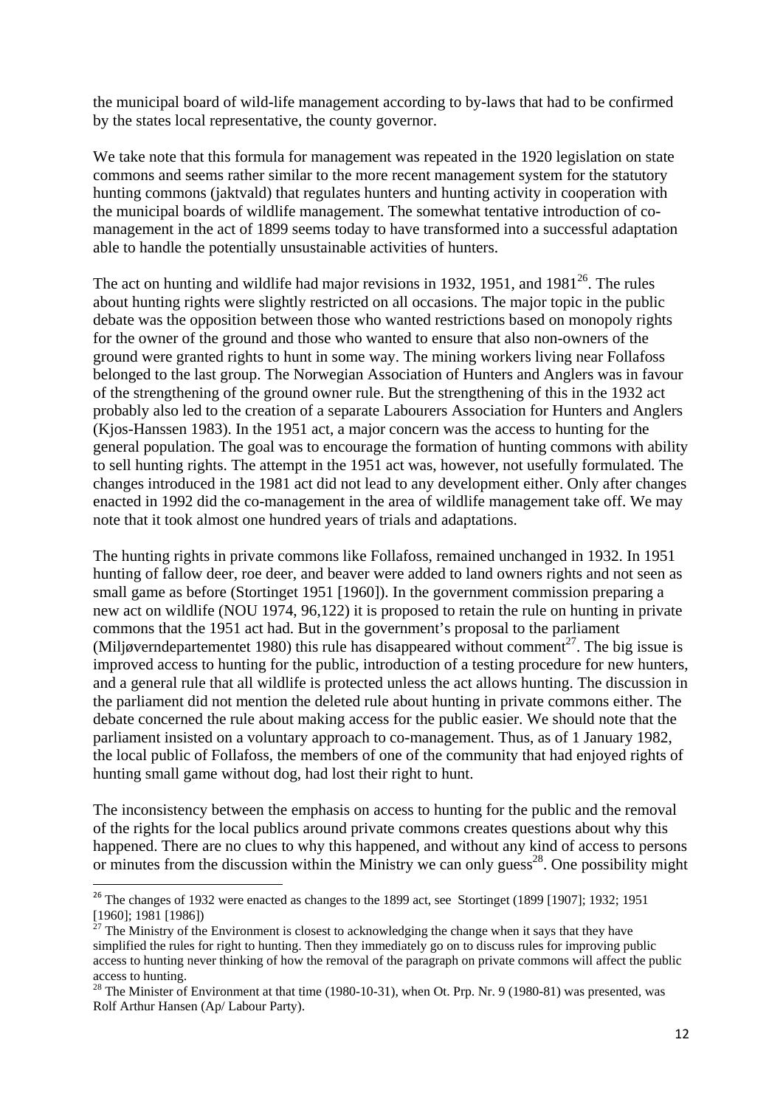the municipal board of wild-life management according to by-laws that had to be confirmed by the states local representative, the county governor.

We take note that this formula for management was repeated in the 1920 legislation on state commons and seems rather similar to the more recent management system for the statutory hunting commons (jaktvald) that regulates hunters and hunting activity in cooperation with the municipal boards of wildlife management. The somewhat tentative introduction of comanagement in the act of 1899 seems today to have transformed into a successful adaptation able to handle the potentially unsustainable activities of hunters.

The act on hunting and wildlife had major revisions in 1932, 1951, and  $1981^{26}$ . The rules about hunting rights were slightly restricted on all occasions. The major topic in the public debate was the opposition between those who wanted restrictions based on monopoly rights for the owner of the ground and those who wanted to ensure that also non-owners of the ground were granted rights to hunt in some way. The mining workers living near Follafoss belonged to the last group. The Norwegian Association of Hunters and Anglers was in favour of the strengthening of the ground owner rule. But the strengthening of this in the 1932 act probably also led to the creation of a separate Labourers Association for Hunters and Anglers (Kjos-Hanssen 1983). In the 1951 act, a major concern was the access to hunting for the general population. The goal was to encourage the formation of hunting commons with ability to sell hunting rights. The attempt in the 1951 act was, however, not usefully formulated. The changes introduced in the 1981 act did not lead to any development either. Only after changes enacted in 1992 did the co-management in the area of wildlife management take off. We may note that it took almost one hundred years of trials and adaptations.

The hunting rights in private commons like Follafoss, remained unchanged in 1932. In 1951 hunting of fallow deer, roe deer, and beaver were added to land owners rights and not seen as small game as before (Stortinget 1951 [1960]). In the government commission preparing a new act on wildlife (NOU 1974, 96,122) it is proposed to retain the rule on hunting in private commons that the 1951 act had. But in the government's proposal to the parliament (Miljøverndepartementet 1980) this rule has disappeared without comment<sup>27</sup>. The big issue is improved access to hunting for the public, introduction of a testing procedure for new hunters, and a general rule that all wildlife is protected unless the act allows hunting. The discussion in the parliament did not mention the deleted rule about hunting in private commons either. The debate concerned the rule about making access for the public easier. We should note that the parliament insisted on a voluntary approach to co-management. Thus, as of 1 January 1982, the local public of Follafoss, the members of one of the community that had enjoyed rights of hunting small game without dog, had lost their right to hunt.

The inconsistency between the emphasis on access to hunting for the public and the removal of the rights for the local publics around private commons creates questions about why this happened. There are no clues to why this happened, and without any kind of access to persons or minutes from the discussion within the Ministry we can only guess<sup>28</sup>. One possibility might

<sup>&</sup>lt;sup>26</sup> The changes of 1932 were enacted as changes to the 1899 act, see Stortinget (1899 [1907]; 1932; 1951 [1960]; 1981 [1986])

<sup>&</sup>lt;sup>27</sup> The Ministry of the Environment is closest to acknowledging the change when it says that they have simplified the rules for right to hunting. Then they immediately go on to discuss rules for improving public access to hunting never thinking of how the removal of the paragraph on private commons will affect the public access to hunting.

 $28$  The Minister of Environment at that time (1980-10-31), when Ot. Prp. Nr. 9 (1980-81) was presented, was Rolf Arthur Hansen (Ap/ Labour Party).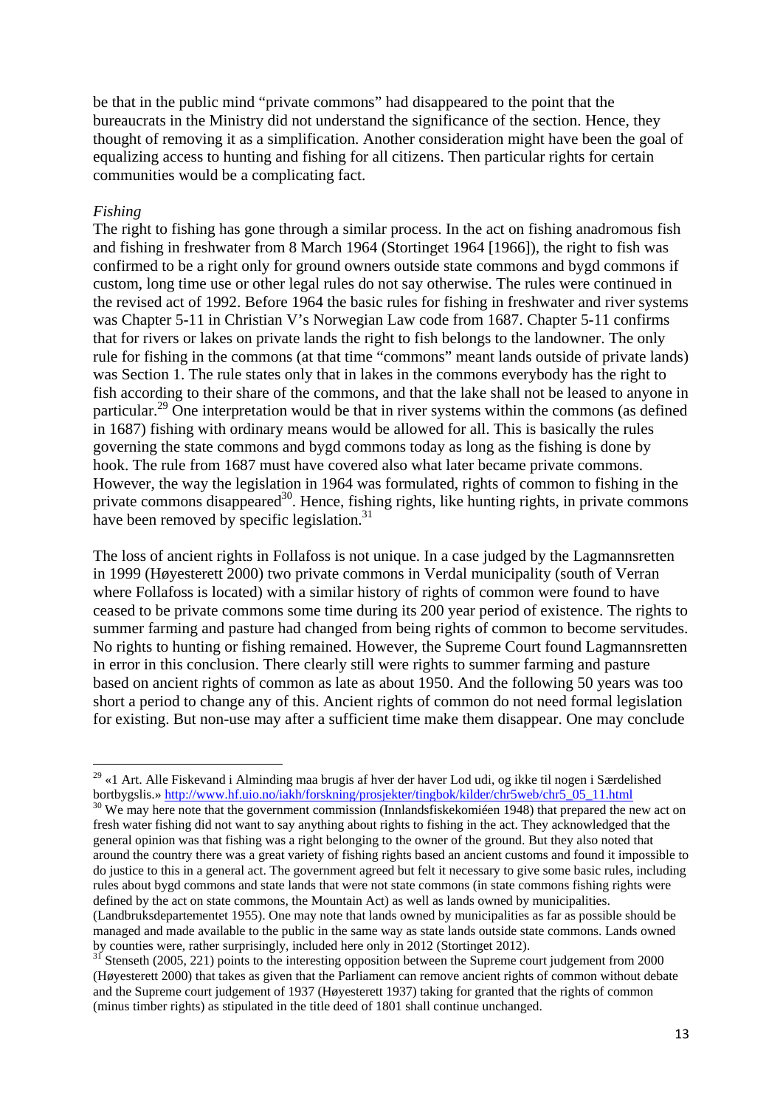be that in the public mind "private commons" had disappeared to the point that the bureaucrats in the Ministry did not understand the significance of the section. Hence, they thought of removing it as a simplification. Another consideration might have been the goal of equalizing access to hunting and fishing for all citizens. Then particular rights for certain communities would be a complicating fact.

#### *Fishing*

The right to fishing has gone through a similar process. In the act on fishing anadromous fish and fishing in freshwater from 8 March 1964 (Stortinget 1964 [1966]), the right to fish was confirmed to be a right only for ground owners outside state commons and bygd commons if custom, long time use or other legal rules do not say otherwise. The rules were continued in the revised act of 1992. Before 1964 the basic rules for fishing in freshwater and river systems was Chapter 5-11 in Christian V's Norwegian Law code from 1687. Chapter 5-11 confirms that for rivers or lakes on private lands the right to fish belongs to the landowner. The only rule for fishing in the commons (at that time "commons" meant lands outside of private lands) was Section 1. The rule states only that in lakes in the commons everybody has the right to fish according to their share of the commons, and that the lake shall not be leased to anyone in particular.29 One interpretation would be that in river systems within the commons (as defined in 1687) fishing with ordinary means would be allowed for all. This is basically the rules governing the state commons and bygd commons today as long as the fishing is done by hook. The rule from 1687 must have covered also what later became private commons. However, the way the legislation in 1964 was formulated, rights of common to fishing in the private commons disappeared<sup>30</sup>. Hence, fishing rights, like hunting rights, in private commons have been removed by specific legislation. $31$ 

The loss of ancient rights in Follafoss is not unique. In a case judged by the Lagmannsretten in 1999 (Høyesterett 2000) two private commons in Verdal municipality (south of Verran where Follafoss is located) with a similar history of rights of common were found to have ceased to be private commons some time during its 200 year period of existence. The rights to summer farming and pasture had changed from being rights of common to become servitudes. No rights to hunting or fishing remained. However, the Supreme Court found Lagmannsretten in error in this conclusion. There clearly still were rights to summer farming and pasture based on ancient rights of common as late as about 1950. And the following 50 years was too short a period to change any of this. Ancient rights of common do not need formal legislation for existing. But non-use may after a sufficient time make them disappear. One may conclude

<sup>1</sup> 29 «1 Art. Alle Fiskevand i Alminding maa brugis af hver der haver Lod udi, og ikke til nogen i Særdelished bortbygslis.» http://www.hf.uio.no/iakh/forskning/prosjekter/tingbok/kilder/chr5web/chr5\_05\_11.html <sup>30</sup> We may here note that the government commission (Innlandsfiskekomiéen 1948) that prepared the new act on

fresh water fishing did not want to say anything about rights to fishing in the act. They acknowledged that the general opinion was that fishing was a right belonging to the owner of the ground. But they also noted that around the country there was a great variety of fishing rights based an ancient customs and found it impossible to do justice to this in a general act. The government agreed but felt it necessary to give some basic rules, including rules about bygd commons and state lands that were not state commons (in state commons fishing rights were defined by the act on state commons, the Mountain Act) as well as lands owned by municipalities. (Landbruksdepartementet 1955). One may note that lands owned by municipalities as far as possible should be managed and made available to the public in the same way as state lands outside state commons. Lands owned by counties were, rather surprisingly, included here only in 2012 (Stortinget 2012).

 $31$  Stenseth (2005, 221) points to the interesting opposition between the Supreme court judgement from 2000 (Høyesterett 2000) that takes as given that the Parliament can remove ancient rights of common without debate and the Supreme court judgement of 1937 (Høyesterett 1937) taking for granted that the rights of common (minus timber rights) as stipulated in the title deed of 1801 shall continue unchanged.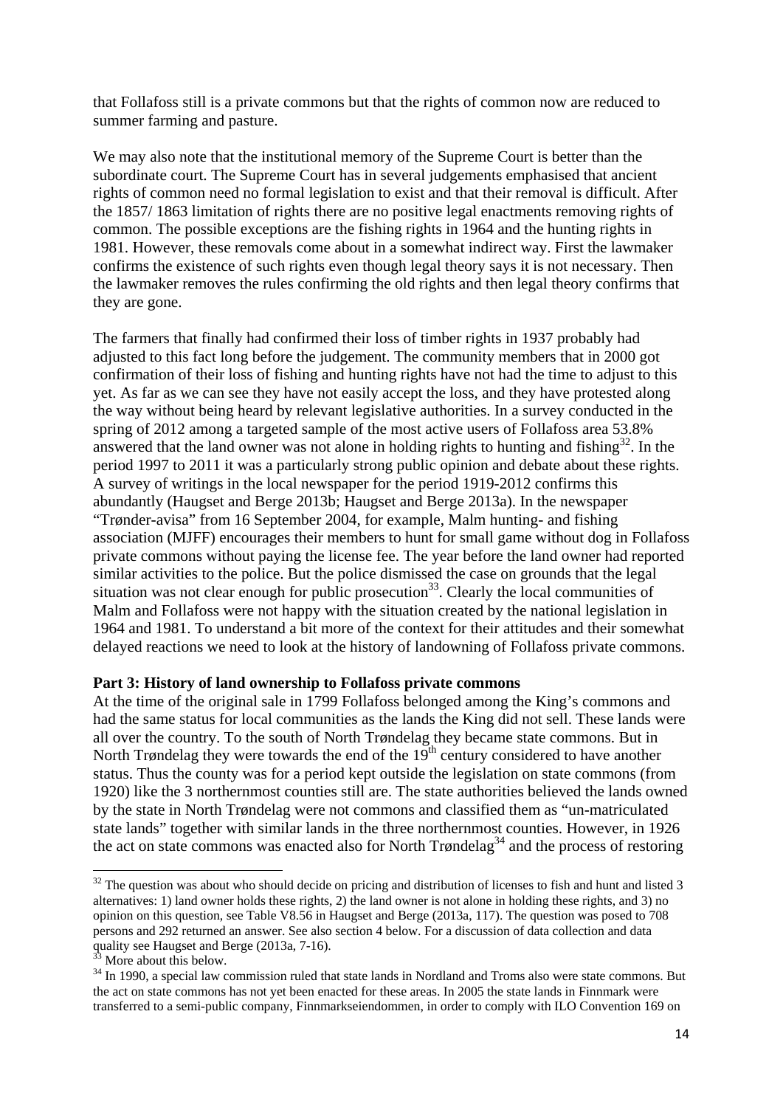that Follafoss still is a private commons but that the rights of common now are reduced to summer farming and pasture.

We may also note that the institutional memory of the Supreme Court is better than the subordinate court. The Supreme Court has in several judgements emphasised that ancient rights of common need no formal legislation to exist and that their removal is difficult. After the 1857/ 1863 limitation of rights there are no positive legal enactments removing rights of common. The possible exceptions are the fishing rights in 1964 and the hunting rights in 1981. However, these removals come about in a somewhat indirect way. First the lawmaker confirms the existence of such rights even though legal theory says it is not necessary. Then the lawmaker removes the rules confirming the old rights and then legal theory confirms that they are gone.

The farmers that finally had confirmed their loss of timber rights in 1937 probably had adjusted to this fact long before the judgement. The community members that in 2000 got confirmation of their loss of fishing and hunting rights have not had the time to adjust to this yet. As far as we can see they have not easily accept the loss, and they have protested along the way without being heard by relevant legislative authorities. In a survey conducted in the spring of 2012 among a targeted sample of the most active users of Follafoss area 53.8% answered that the land owner was not alone in holding rights to hunting and fishing<sup>32</sup>. In the period 1997 to 2011 it was a particularly strong public opinion and debate about these rights. A survey of writings in the local newspaper for the period 1919-2012 confirms this abundantly (Haugset and Berge 2013b; Haugset and Berge 2013a). In the newspaper "Trønder-avisa" from 16 September 2004, for example, Malm hunting- and fishing association (MJFF) encourages their members to hunt for small game without dog in Follafoss private commons without paying the license fee. The year before the land owner had reported similar activities to the police. But the police dismissed the case on grounds that the legal situation was not clear enough for public prosecution<sup>33</sup>. Clearly the local communities of Malm and Follafoss were not happy with the situation created by the national legislation in 1964 and 1981. To understand a bit more of the context for their attitudes and their somewhat delayed reactions we need to look at the history of landowning of Follafoss private commons.

#### **Part 3: History of land ownership to Follafoss private commons**

At the time of the original sale in 1799 Follafoss belonged among the King's commons and had the same status for local communities as the lands the King did not sell. These lands were all over the country. To the south of North Trøndelag they became state commons. But in North Trøndelag they were towards the end of the  $19<sup>th</sup>$  century considered to have another status. Thus the county was for a period kept outside the legislation on state commons (from 1920) like the 3 northernmost counties still are. The state authorities believed the lands owned by the state in North Trøndelag were not commons and classified them as "un-matriculated state lands" together with similar lands in the three northernmost counties. However, in 1926 the act on state commons was enacted also for North  $Trøndelag<sup>34</sup>$  and the process of restoring

 $32$  The question was about who should decide on pricing and distribution of licenses to fish and hunt and listed 3 alternatives: 1) land owner holds these rights, 2) the land owner is not alone in holding these rights, and 3) no opinion on this question, see Table V8.56 in Haugset and Berge (2013a, 117). The question was posed to 708 persons and 292 returned an answer. See also section 4 below. For a discussion of data collection and data quality see Haugset and Berge (2013a, 7-16).

More about this below.

<sup>&</sup>lt;sup>34</sup> In 1990, a special law commission ruled that state lands in Nordland and Troms also were state commons. But the act on state commons has not yet been enacted for these areas. In 2005 the state lands in Finnmark were transferred to a semi-public company, Finnmarkseiendommen, in order to comply with ILO Convention 169 on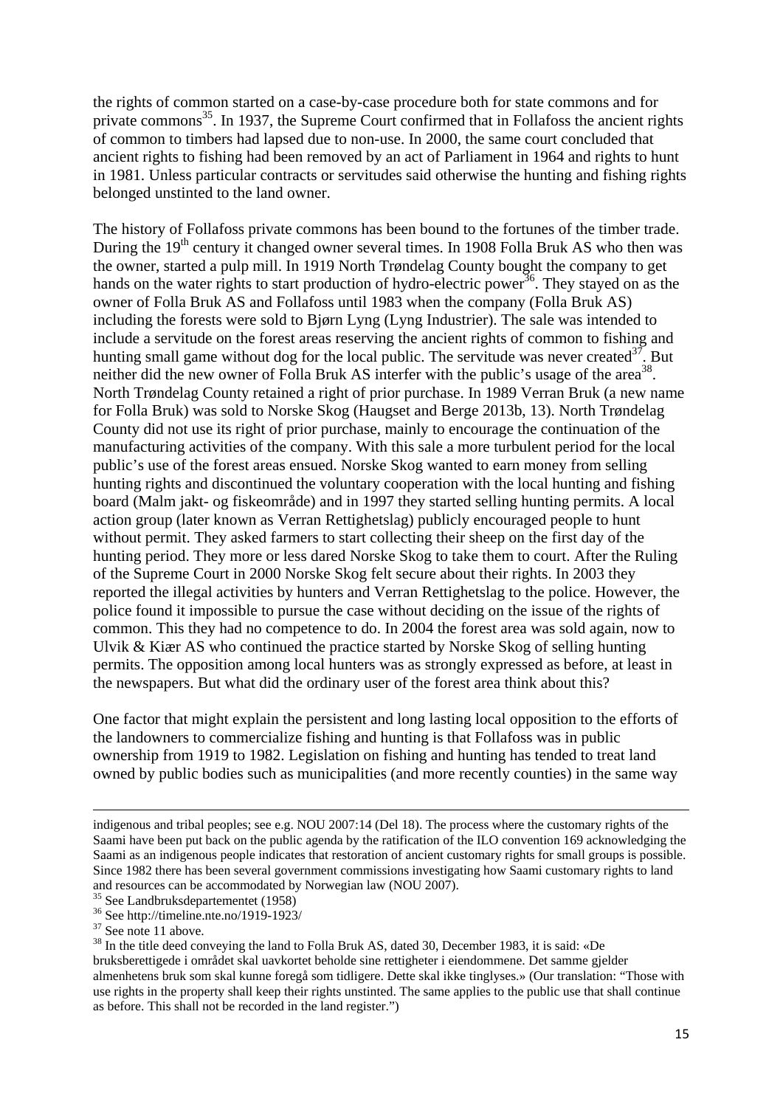the rights of common started on a case-by-case procedure both for state commons and for private commons<sup>35</sup>. In 1937, the Supreme Court confirmed that in Follafoss the ancient rights of common to timbers had lapsed due to non-use. In 2000, the same court concluded that ancient rights to fishing had been removed by an act of Parliament in 1964 and rights to hunt in 1981. Unless particular contracts or servitudes said otherwise the hunting and fishing rights belonged unstinted to the land owner.

The history of Follafoss private commons has been bound to the fortunes of the timber trade. During the 19<sup>th</sup> century it changed owner several times. In 1908 Folla Bruk AS who then was the owner, started a pulp mill. In 1919 North Trøndelag County bought the company to get hands on the water rights to start production of hydro-electric power<sup>36</sup>. They stayed on as the owner of Folla Bruk AS and Follafoss until 1983 when the company (Folla Bruk AS) including the forests were sold to Bjørn Lyng (Lyng Industrier). The sale was intended to include a servitude on the forest areas reserving the ancient rights of common to fishing and hunting small game without dog for the local public. The servitude was never created  $37$ . But neither did the new owner of Folla Bruk AS interfer with the public's usage of the area<sup>38</sup>. North Trøndelag County retained a right of prior purchase. In 1989 Verran Bruk (a new name for Folla Bruk) was sold to Norske Skog (Haugset and Berge 2013b, 13). North Trøndelag County did not use its right of prior purchase, mainly to encourage the continuation of the manufacturing activities of the company. With this sale a more turbulent period for the local public's use of the forest areas ensued. Norske Skog wanted to earn money from selling hunting rights and discontinued the voluntary cooperation with the local hunting and fishing board (Malm jakt- og fiskeområde) and in 1997 they started selling hunting permits. A local action group (later known as Verran Rettighetslag) publicly encouraged people to hunt without permit. They asked farmers to start collecting their sheep on the first day of the hunting period. They more or less dared Norske Skog to take them to court. After the Ruling of the Supreme Court in 2000 Norske Skog felt secure about their rights. In 2003 they reported the illegal activities by hunters and Verran Rettighetslag to the police. However, the police found it impossible to pursue the case without deciding on the issue of the rights of common. This they had no competence to do. In 2004 the forest area was sold again, now to Ulvik & Kiær AS who continued the practice started by Norske Skog of selling hunting permits. The opposition among local hunters was as strongly expressed as before, at least in the newspapers. But what did the ordinary user of the forest area think about this?

One factor that might explain the persistent and long lasting local opposition to the efforts of the landowners to commercialize fishing and hunting is that Follafoss was in public ownership from 1919 to 1982. Legislation on fishing and hunting has tended to treat land owned by public bodies such as municipalities (and more recently counties) in the same way

indigenous and tribal peoples; see e.g. NOU 2007:14 (Del 18). The process where the customary rights of the Saami have been put back on the public agenda by the ratification of the ILO convention 169 acknowledging the Saami as an indigenous people indicates that restoration of ancient customary rights for small groups is possible. Since 1982 there has been several government commissions investigating how Saami customary rights to land and resources can be accommodated by Norwegian law (NOU 2007).

<sup>35</sup> See Landbruksdepartementet (1958)

<sup>36</sup> See http://timeline.nte.no/1919-1923/

 $37$  See note 11 above.

<sup>&</sup>lt;sup>38</sup> In the title deed conveying the land to Folla Bruk AS, dated 30, December 1983, it is said: «De bruksberettigede i området skal uavkortet beholde sine rettigheter i eiendommene. Det samme gjelder almenhetens bruk som skal kunne foregå som tidligere. Dette skal ikke tinglyses.» (Our translation: "Those with use rights in the property shall keep their rights unstinted. The same applies to the public use that shall continue as before. This shall not be recorded in the land register.")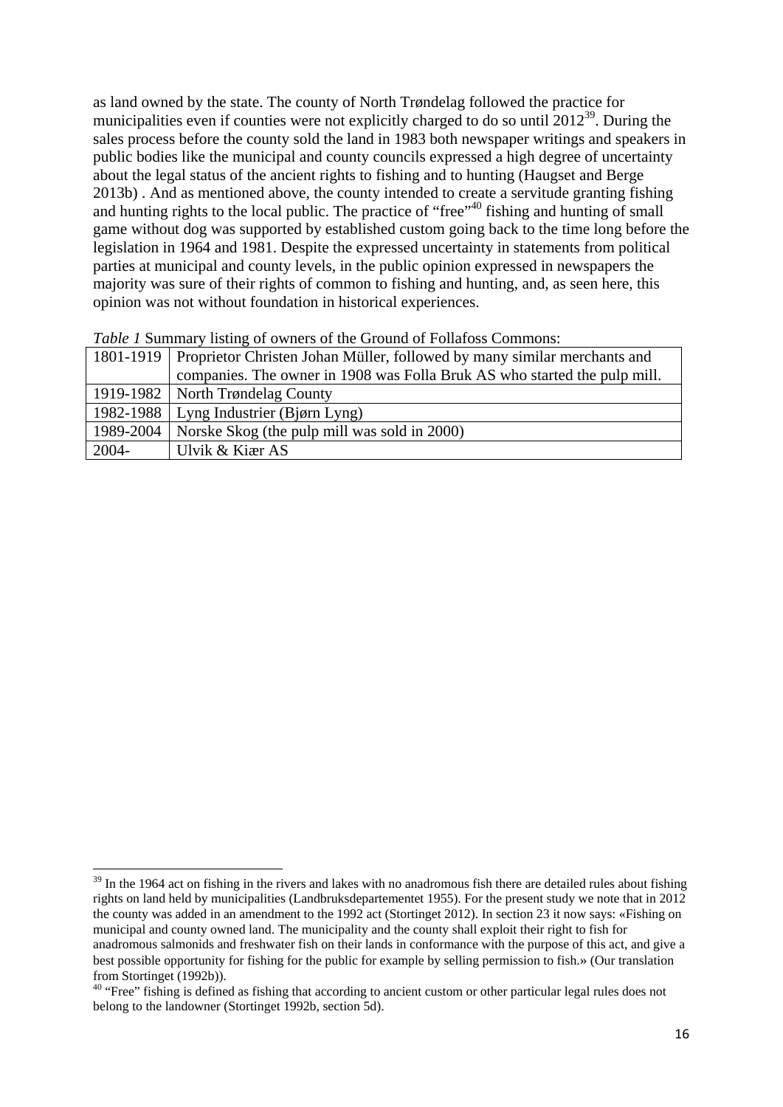as land owned by the state. The county of North Trøndelag followed the practice for municipalities even if counties were not explicitly charged to do so until  $2012^{39}$ . During the sales process before the county sold the land in 1983 both newspaper writings and speakers in public bodies like the municipal and county councils expressed a high degree of uncertainty about the legal status of the ancient rights to fishing and to hunting (Haugset and Berge 2013b) . And as mentioned above, the county intended to create a servitude granting fishing and hunting rights to the local public. The practice of "free"<sup>40</sup> fishing and hunting of small game without dog was supported by established custom going back to the time long before the legislation in 1964 and 1981. Despite the expressed uncertainty in statements from political parties at municipal and county levels, in the public opinion expressed in newspapers the majority was sure of their rights of common to fishing and hunting, and, as seen here, this opinion was not without foundation in historical experiences.

|          | 1801-1919   Proprietor Christen Johan Müller, followed by many similar merchants and |
|----------|--------------------------------------------------------------------------------------|
|          | companies. The owner in 1908 was Folla Bruk AS who started the pulp mill.            |
|          | 1919-1982   North Trøndelag County                                                   |
|          | 1982-1988   Lyng Industrier (Bjørn Lyng)                                             |
|          | 1989-2004   Norske Skog (the pulp mill was sold in 2000)                             |
| $2004 -$ | Ulvik & Kiær AS                                                                      |

| Table 1 Summary listing of owners of the Ground of Follafoss Commons: |  |  |  |  |  |  |  |  |  |  |
|-----------------------------------------------------------------------|--|--|--|--|--|--|--|--|--|--|
|-----------------------------------------------------------------------|--|--|--|--|--|--|--|--|--|--|

 $39$  In the 1964 act on fishing in the rivers and lakes with no anadromous fish there are detailed rules about fishing rights on land held by municipalities (Landbruksdepartementet 1955). For the present study we note that in 2012 the county was added in an amendment to the 1992 act (Stortinget 2012). In section 23 it now says: «Fishing on municipal and county owned land. The municipality and the county shall exploit their right to fish for anadromous salmonids and freshwater fish on their lands in conformance with the purpose of this act, and give a best possible opportunity for fishing for the public for example by selling permission to fish.» (Our translation from Stortinget (1992b)).

<sup>&</sup>lt;sup>40</sup> "Free" fishing is defined as fishing that according to ancient custom or other particular legal rules does not belong to the landowner (Stortinget 1992b, section 5d).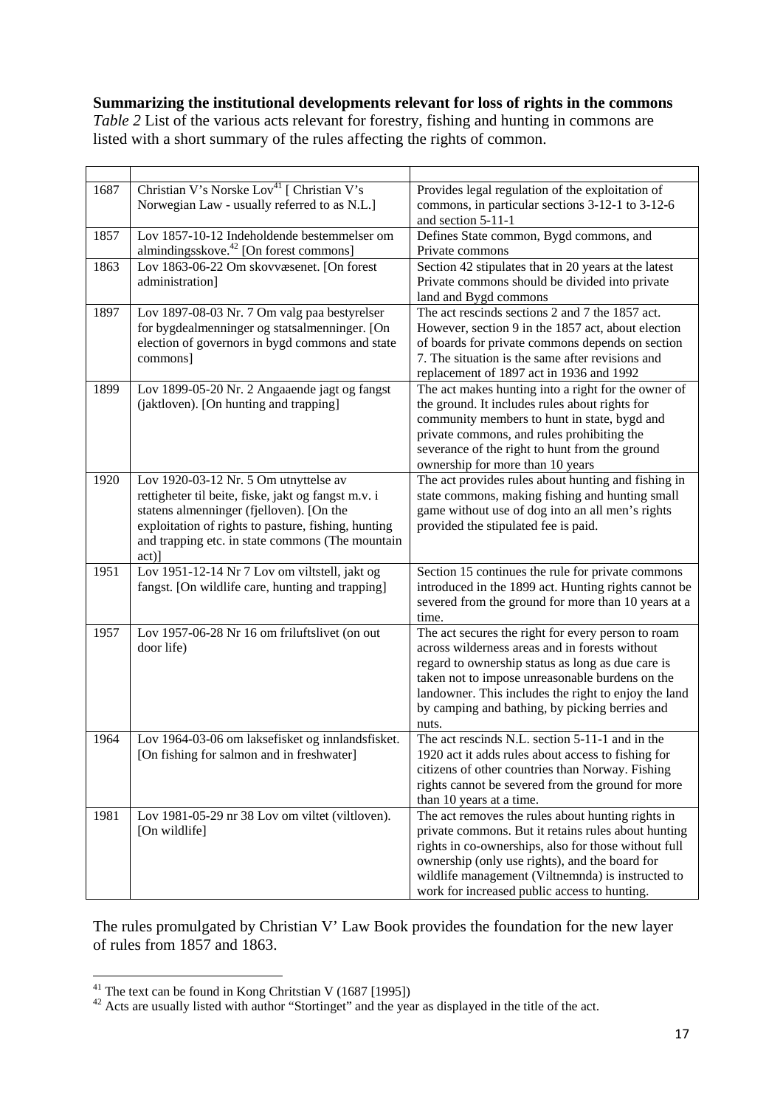# **Summarizing the institutional developments relevant for loss of rights in the commons**

*Table 2* List of the various acts relevant for forestry, fishing and hunting in commons are listed with a short summary of the rules affecting the rights of common.

| 1687 | Christian V's Norske Lov <sup>41</sup> [ Christian V's<br>Norwegian Law - usually referred to as N.L.]                                                                                                                                                          | Provides legal regulation of the exploitation of<br>commons, in particular sections 3-12-1 to 3-12-6<br>and section 5-11-1                                                                                                                                                                                                      |
|------|-----------------------------------------------------------------------------------------------------------------------------------------------------------------------------------------------------------------------------------------------------------------|---------------------------------------------------------------------------------------------------------------------------------------------------------------------------------------------------------------------------------------------------------------------------------------------------------------------------------|
| 1857 | Lov 1857-10-12 Indeholdende bestemmelser om<br>almindingsskove. <sup>42</sup> [On forest commons]                                                                                                                                                               | Defines State common, Bygd commons, and<br>Private commons                                                                                                                                                                                                                                                                      |
| 1863 | Lov 1863-06-22 Om skovvæsenet. [On forest<br>administration]                                                                                                                                                                                                    | Section 42 stipulates that in 20 years at the latest<br>Private commons should be divided into private<br>land and Bygd commons                                                                                                                                                                                                 |
| 1897 | Lov 1897-08-03 Nr. 7 Om valg paa bestyrelser<br>for bygdealmenninger og statsalmenninger. [On<br>election of governors in bygd commons and state<br>commons]                                                                                                    | The act rescinds sections 2 and 7 the 1857 act.<br>However, section 9 in the 1857 act, about election<br>of boards for private commons depends on section<br>7. The situation is the same after revisions and<br>replacement of 1897 act in 1936 and 1992                                                                       |
| 1899 | Lov 1899-05-20 Nr. 2 Angaaende jagt og fangst<br>(jaktloven). [On hunting and trapping]                                                                                                                                                                         | The act makes hunting into a right for the owner of<br>the ground. It includes rules about rights for<br>community members to hunt in state, bygd and<br>private commons, and rules prohibiting the<br>severance of the right to hunt from the ground<br>ownership for more than 10 years                                       |
| 1920 | Lov 1920-03-12 Nr. 5 Om utnyttelse av<br>rettigheter til beite, fiske, jakt og fangst m.v. i<br>statens almenninger (fjelloven). [On the<br>exploitation of rights to pasture, fishing, hunting<br>and trapping etc. in state commons (The mountain<br>$act)$ ] | The act provides rules about hunting and fishing in<br>state commons, making fishing and hunting small<br>game without use of dog into an all men's rights<br>provided the stipulated fee is paid.                                                                                                                              |
| 1951 | Lov 1951-12-14 Nr 7 Lov om viltstell, jakt og<br>fangst. [On wildlife care, hunting and trapping]                                                                                                                                                               | Section 15 continues the rule for private commons<br>introduced in the 1899 act. Hunting rights cannot be<br>severed from the ground for more than 10 years at a<br>time.                                                                                                                                                       |
| 1957 | Lov 1957-06-28 Nr 16 om friluftslivet (on out<br>door life)                                                                                                                                                                                                     | The act secures the right for every person to roam<br>across wilderness areas and in forests without<br>regard to ownership status as long as due care is<br>taken not to impose unreasonable burdens on the<br>landowner. This includes the right to enjoy the land<br>by camping and bathing, by picking berries and<br>nuts. |
| 1964 | Lov 1964-03-06 om laksefisket og innlandsfisket.<br>[On fishing for salmon and in freshwater]                                                                                                                                                                   | The act rescinds N.L. section 5-11-1 and in the<br>1920 act it adds rules about access to fishing for<br>citizens of other countries than Norway. Fishing<br>rights cannot be severed from the ground for more<br>than 10 years at a time.                                                                                      |
| 1981 | Lov 1981-05-29 nr 38 Lov om viltet (viltloven).<br>[On wildlife]                                                                                                                                                                                                | The act removes the rules about hunting rights in<br>private commons. But it retains rules about hunting<br>rights in co-ownerships, also for those without full<br>ownership (only use rights), and the board for<br>wildlife management (Viltnemnda) is instructed to<br>work for increased public access to hunting.         |

The rules promulgated by Christian V' Law Book provides the foundation for the new layer of rules from 1857 and 1863.

<sup>1</sup> <sup>41</sup> The text can be found in Kong Chritstian V (1687 [1995])

 $42$  Acts are usually listed with author "Stortinget" and the year as displayed in the title of the act.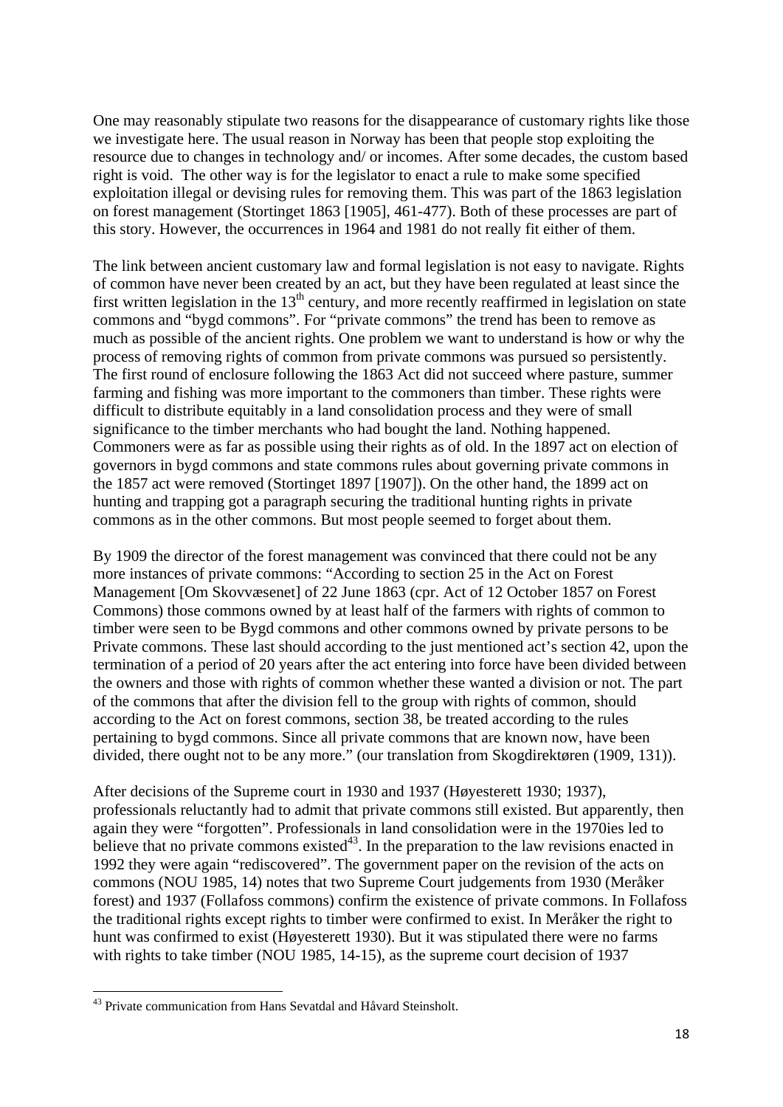One may reasonably stipulate two reasons for the disappearance of customary rights like those we investigate here. The usual reason in Norway has been that people stop exploiting the resource due to changes in technology and/ or incomes. After some decades, the custom based right is void. The other way is for the legislator to enact a rule to make some specified exploitation illegal or devising rules for removing them. This was part of the 1863 legislation on forest management (Stortinget 1863 [1905], 461-477). Both of these processes are part of this story. However, the occurrences in 1964 and 1981 do not really fit either of them.

The link between ancient customary law and formal legislation is not easy to navigate. Rights of common have never been created by an act, but they have been regulated at least since the first written legislation in the  $13<sup>th</sup>$  century, and more recently reaffirmed in legislation on state commons and "bygd commons". For "private commons" the trend has been to remove as much as possible of the ancient rights. One problem we want to understand is how or why the process of removing rights of common from private commons was pursued so persistently. The first round of enclosure following the 1863 Act did not succeed where pasture, summer farming and fishing was more important to the commoners than timber. These rights were difficult to distribute equitably in a land consolidation process and they were of small significance to the timber merchants who had bought the land. Nothing happened. Commoners were as far as possible using their rights as of old. In the 1897 act on election of governors in bygd commons and state commons rules about governing private commons in the 1857 act were removed (Stortinget 1897 [1907]). On the other hand, the 1899 act on hunting and trapping got a paragraph securing the traditional hunting rights in private commons as in the other commons. But most people seemed to forget about them.

By 1909 the director of the forest management was convinced that there could not be any more instances of private commons: "According to section 25 in the Act on Forest Management [Om Skovvæsenet] of 22 June 1863 (cpr. Act of 12 October 1857 on Forest Commons) those commons owned by at least half of the farmers with rights of common to timber were seen to be Bygd commons and other commons owned by private persons to be Private commons. These last should according to the just mentioned act's section 42, upon the termination of a period of 20 years after the act entering into force have been divided between the owners and those with rights of common whether these wanted a division or not. The part of the commons that after the division fell to the group with rights of common, should according to the Act on forest commons, section 38, be treated according to the rules pertaining to bygd commons. Since all private commons that are known now, have been divided, there ought not to be any more." (our translation from Skogdirektøren (1909, 131)).

After decisions of the Supreme court in 1930 and 1937 (Høyesterett 1930; 1937), professionals reluctantly had to admit that private commons still existed. But apparently, then again they were "forgotten". Professionals in land consolidation were in the 1970ies led to believe that no private commons existed $43$ . In the preparation to the law revisions enacted in 1992 they were again "rediscovered". The government paper on the revision of the acts on commons (NOU 1985, 14) notes that two Supreme Court judgements from 1930 (Meråker forest) and 1937 (Follafoss commons) confirm the existence of private commons. In Follafoss the traditional rights except rights to timber were confirmed to exist. In Meråker the right to hunt was confirmed to exist (Høyesterett 1930). But it was stipulated there were no farms with rights to take timber (NOU 1985, 14-15), as the supreme court decision of 1937

<sup>43</sup> Private communication from Hans Sevatdal and Håvard Steinsholt.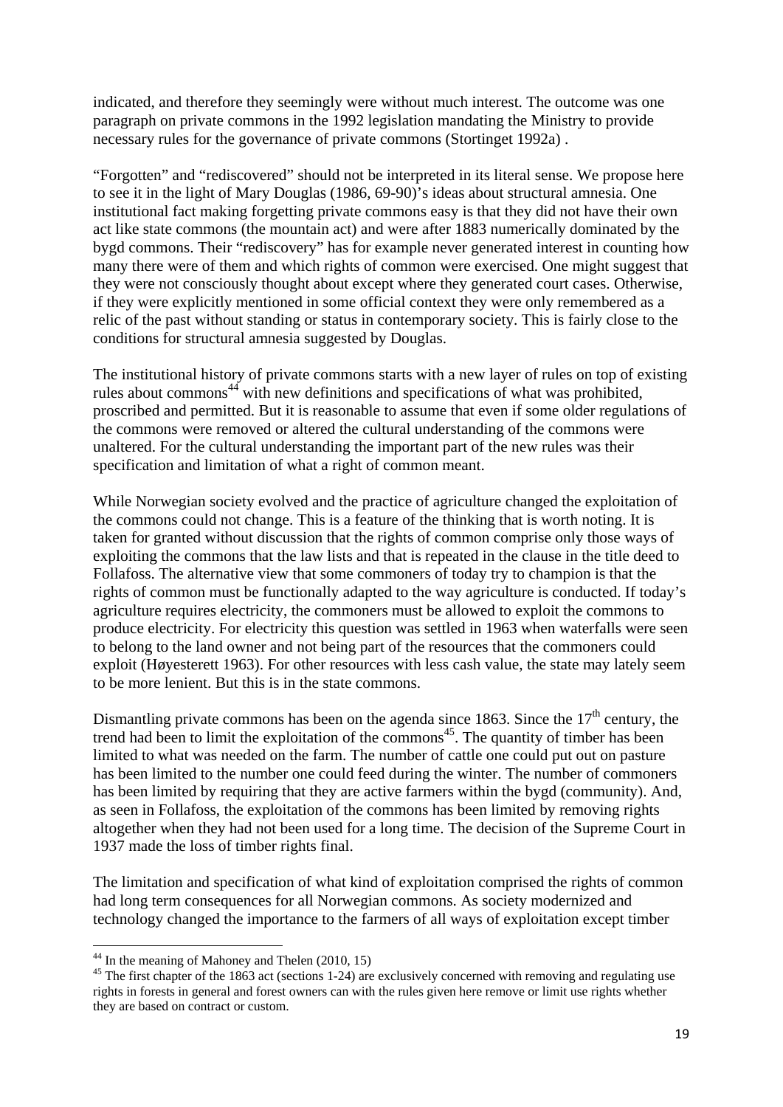indicated, and therefore they seemingly were without much interest. The outcome was one paragraph on private commons in the 1992 legislation mandating the Ministry to provide necessary rules for the governance of private commons (Stortinget 1992a) .

"Forgotten" and "rediscovered" should not be interpreted in its literal sense. We propose here to see it in the light of Mary Douglas (1986, 69-90)'s ideas about structural amnesia. One institutional fact making forgetting private commons easy is that they did not have their own act like state commons (the mountain act) and were after 1883 numerically dominated by the bygd commons. Their "rediscovery" has for example never generated interest in counting how many there were of them and which rights of common were exercised. One might suggest that they were not consciously thought about except where they generated court cases. Otherwise, if they were explicitly mentioned in some official context they were only remembered as a relic of the past without standing or status in contemporary society. This is fairly close to the conditions for structural amnesia suggested by Douglas.

The institutional history of private commons starts with a new layer of rules on top of existing rules about commons<sup>44</sup> with new definitions and specifications of what was prohibited, proscribed and permitted. But it is reasonable to assume that even if some older regulations of the commons were removed or altered the cultural understanding of the commons were unaltered. For the cultural understanding the important part of the new rules was their specification and limitation of what a right of common meant.

While Norwegian society evolved and the practice of agriculture changed the exploitation of the commons could not change. This is a feature of the thinking that is worth noting. It is taken for granted without discussion that the rights of common comprise only those ways of exploiting the commons that the law lists and that is repeated in the clause in the title deed to Follafoss. The alternative view that some commoners of today try to champion is that the rights of common must be functionally adapted to the way agriculture is conducted. If today's agriculture requires electricity, the commoners must be allowed to exploit the commons to produce electricity. For electricity this question was settled in 1963 when waterfalls were seen to belong to the land owner and not being part of the resources that the commoners could exploit (Høyesterett 1963). For other resources with less cash value, the state may lately seem to be more lenient. But this is in the state commons.

Dismantling private commons has been on the agenda since 1863. Since the  $17<sup>th</sup>$  century, the trend had been to limit the exploitation of the commons<sup>45</sup>. The quantity of timber has been limited to what was needed on the farm. The number of cattle one could put out on pasture has been limited to the number one could feed during the winter. The number of commoners has been limited by requiring that they are active farmers within the bygd (community). And, as seen in Follafoss, the exploitation of the commons has been limited by removing rights altogether when they had not been used for a long time. The decision of the Supreme Court in 1937 made the loss of timber rights final.

The limitation and specification of what kind of exploitation comprised the rights of common had long term consequences for all Norwegian commons. As society modernized and technology changed the importance to the farmers of all ways of exploitation except timber

 $44$  In the meaning of Mahoney and Thelen (2010, 15)

<sup>&</sup>lt;sup>45</sup> The first chapter of the 1863 act (sections 1-24) are exclusively concerned with removing and regulating use rights in forests in general and forest owners can with the rules given here remove or limit use rights whether they are based on contract or custom.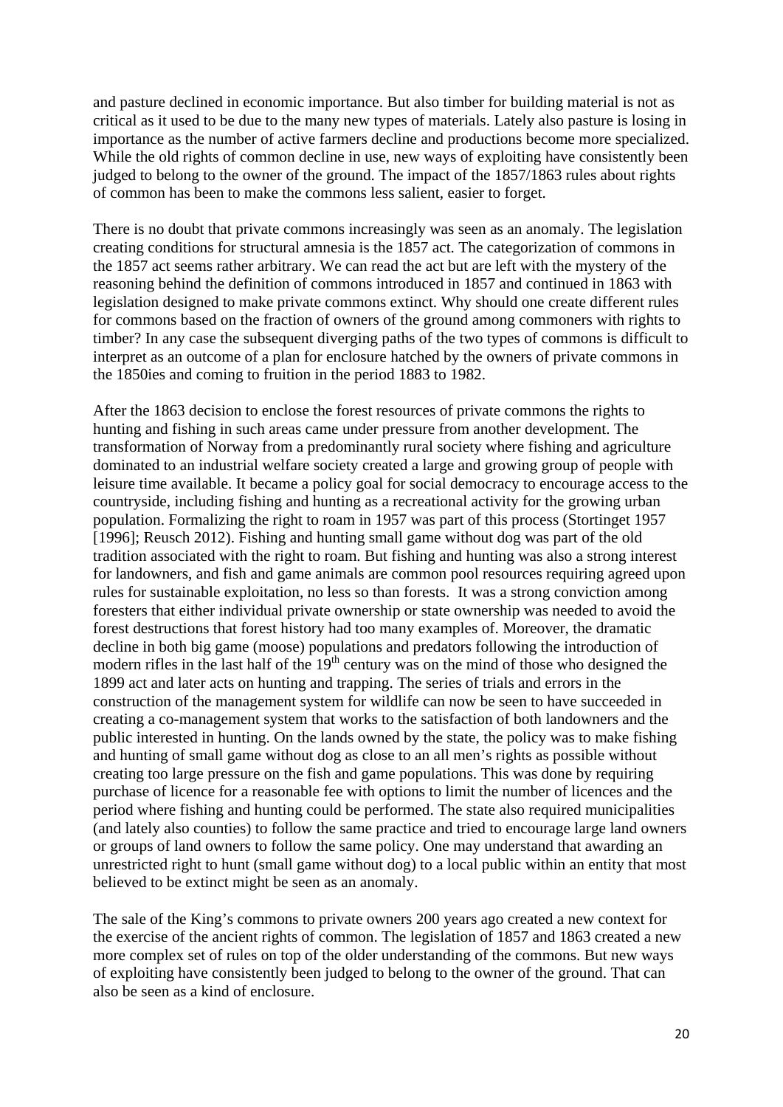and pasture declined in economic importance. But also timber for building material is not as critical as it used to be due to the many new types of materials. Lately also pasture is losing in importance as the number of active farmers decline and productions become more specialized. While the old rights of common decline in use, new ways of exploiting have consistently been judged to belong to the owner of the ground. The impact of the 1857/1863 rules about rights of common has been to make the commons less salient, easier to forget.

There is no doubt that private commons increasingly was seen as an anomaly. The legislation creating conditions for structural amnesia is the 1857 act. The categorization of commons in the 1857 act seems rather arbitrary. We can read the act but are left with the mystery of the reasoning behind the definition of commons introduced in 1857 and continued in 1863 with legislation designed to make private commons extinct. Why should one create different rules for commons based on the fraction of owners of the ground among commoners with rights to timber? In any case the subsequent diverging paths of the two types of commons is difficult to interpret as an outcome of a plan for enclosure hatched by the owners of private commons in the 1850ies and coming to fruition in the period 1883 to 1982.

After the 1863 decision to enclose the forest resources of private commons the rights to hunting and fishing in such areas came under pressure from another development. The transformation of Norway from a predominantly rural society where fishing and agriculture dominated to an industrial welfare society created a large and growing group of people with leisure time available. It became a policy goal for social democracy to encourage access to the countryside, including fishing and hunting as a recreational activity for the growing urban population. Formalizing the right to roam in 1957 was part of this process (Stortinget 1957 [1996]; Reusch 2012). Fishing and hunting small game without dog was part of the old tradition associated with the right to roam. But fishing and hunting was also a strong interest for landowners, and fish and game animals are common pool resources requiring agreed upon rules for sustainable exploitation, no less so than forests. It was a strong conviction among foresters that either individual private ownership or state ownership was needed to avoid the forest destructions that forest history had too many examples of. Moreover, the dramatic decline in both big game (moose) populations and predators following the introduction of modern rifles in the last half of the  $19<sup>th</sup>$  century was on the mind of those who designed the 1899 act and later acts on hunting and trapping. The series of trials and errors in the construction of the management system for wildlife can now be seen to have succeeded in creating a co-management system that works to the satisfaction of both landowners and the public interested in hunting. On the lands owned by the state, the policy was to make fishing and hunting of small game without dog as close to an all men's rights as possible without creating too large pressure on the fish and game populations. This was done by requiring purchase of licence for a reasonable fee with options to limit the number of licences and the period where fishing and hunting could be performed. The state also required municipalities (and lately also counties) to follow the same practice and tried to encourage large land owners or groups of land owners to follow the same policy. One may understand that awarding an unrestricted right to hunt (small game without dog) to a local public within an entity that most believed to be extinct might be seen as an anomaly.

The sale of the King's commons to private owners 200 years ago created a new context for the exercise of the ancient rights of common. The legislation of 1857 and 1863 created a new more complex set of rules on top of the older understanding of the commons. But new ways of exploiting have consistently been judged to belong to the owner of the ground. That can also be seen as a kind of enclosure.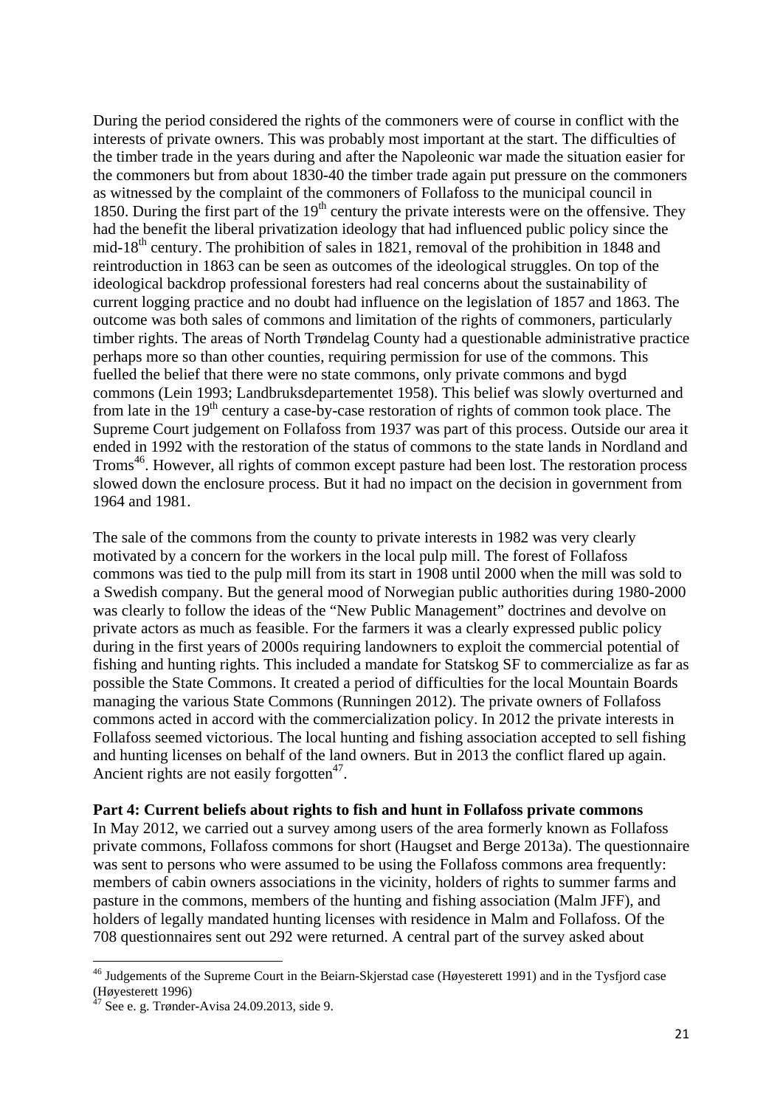During the period considered the rights of the commoners were of course in conflict with the interests of private owners. This was probably most important at the start. The difficulties of the timber trade in the years during and after the Napoleonic war made the situation easier for the commoners but from about 1830-40 the timber trade again put pressure on the commoners as witnessed by the complaint of the commoners of Follafoss to the municipal council in 1850. During the first part of the  $19<sup>th</sup>$  century the private interests were on the offensive. They had the benefit the liberal privatization ideology that had influenced public policy since the mid-18<sup>th</sup> century. The prohibition of sales in 1821, removal of the prohibition in 1848 and reintroduction in 1863 can be seen as outcomes of the ideological struggles. On top of the ideological backdrop professional foresters had real concerns about the sustainability of current logging practice and no doubt had influence on the legislation of 1857 and 1863. The outcome was both sales of commons and limitation of the rights of commoners, particularly timber rights. The areas of North Trøndelag County had a questionable administrative practice perhaps more so than other counties, requiring permission for use of the commons. This fuelled the belief that there were no state commons, only private commons and bygd commons (Lein 1993; Landbruksdepartementet 1958). This belief was slowly overturned and from late in the  $19<sup>th</sup>$  century a case-by-case restoration of rights of common took place. The Supreme Court judgement on Follafoss from 1937 was part of this process. Outside our area it ended in 1992 with the restoration of the status of commons to the state lands in Nordland and Troms<sup>46</sup>. However, all rights of common except pasture had been lost. The restoration process slowed down the enclosure process. But it had no impact on the decision in government from 1964 and 1981.

The sale of the commons from the county to private interests in 1982 was very clearly motivated by a concern for the workers in the local pulp mill. The forest of Follafoss commons was tied to the pulp mill from its start in 1908 until 2000 when the mill was sold to a Swedish company. But the general mood of Norwegian public authorities during 1980-2000 was clearly to follow the ideas of the "New Public Management" doctrines and devolve on private actors as much as feasible. For the farmers it was a clearly expressed public policy during in the first years of 2000s requiring landowners to exploit the commercial potential of fishing and hunting rights. This included a mandate for Statskog SF to commercialize as far as possible the State Commons. It created a period of difficulties for the local Mountain Boards managing the various State Commons (Runningen 2012). The private owners of Follafoss commons acted in accord with the commercialization policy. In 2012 the private interests in Follafoss seemed victorious. The local hunting and fishing association accepted to sell fishing and hunting licenses on behalf of the land owners. But in 2013 the conflict flared up again. Ancient rights are not easily forgotten $47$ .

#### **Part 4: Current beliefs about rights to fish and hunt in Follafoss private commons**

In May 2012, we carried out a survey among users of the area formerly known as Follafoss private commons, Follafoss commons for short (Haugset and Berge 2013a). The questionnaire was sent to persons who were assumed to be using the Follafoss commons area frequently: members of cabin owners associations in the vicinity, holders of rights to summer farms and pasture in the commons, members of the hunting and fishing association (Malm JFF), and holders of legally mandated hunting licenses with residence in Malm and Follafoss. Of the 708 questionnaires sent out 292 were returned. A central part of the survey asked about

<sup>&</sup>lt;sup>46</sup> Judgements of the Supreme Court in the Beiarn-Skjerstad case (Høyesterett 1991) and in the Tysfjord case (Høyesterett 1996)

 $^7$  See e. g. Trønder-Avisa 24.09.2013, side 9.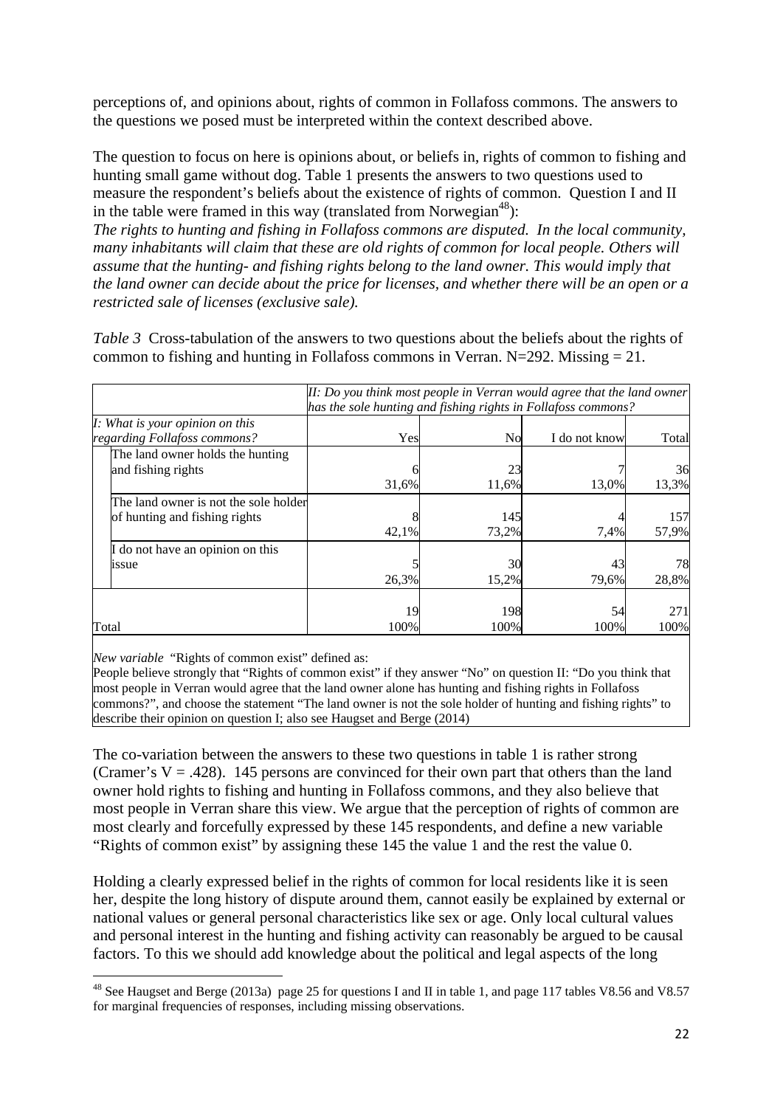perceptions of, and opinions about, rights of common in Follafoss commons. The answers to the questions we posed must be interpreted within the context described above.

The question to focus on here is opinions about, or beliefs in, rights of common to fishing and hunting small game without dog. Table 1 presents the answers to two questions used to measure the respondent's beliefs about the existence of rights of common. Question I and II in the table were framed in this way (translated from Norwegian<sup>48</sup>):

*The rights to hunting and fishing in Follafoss commons are disputed. In the local community, many inhabitants will claim that these are old rights of common for local people. Others will assume that the hunting- and fishing rights belong to the land owner. This would imply that the land owner can decide about the price for licenses, and whether there will be an open or a restricted sale of licenses (exclusive sale).*

*Table 3* Cross-tabulation of the answers to two questions about the beliefs about the rights of common to fishing and hunting in Follafoss commons in Verran. N=292. Missing  $= 21$ .

| μι: Do you think most people in Verran would agree that the land owner |                                                               |           |               |       |  |  |  |  |
|------------------------------------------------------------------------|---------------------------------------------------------------|-----------|---------------|-------|--|--|--|--|
|                                                                        | has the sole hunting and fishing rights in Follafoss commons? |           |               |       |  |  |  |  |
| I: What is your opinion on this                                        |                                                               |           |               |       |  |  |  |  |
| regarding Follafoss commons?                                           | Yes                                                           | <b>No</b> | I do not know | Total |  |  |  |  |
| The land owner holds the hunting                                       |                                                               |           |               |       |  |  |  |  |
| and fishing rights                                                     |                                                               | 23        |               | 36    |  |  |  |  |
|                                                                        | 31,6%                                                         | 11,6%     | 13,0%         | 13,3% |  |  |  |  |
| The land owner is not the sole holder                                  |                                                               |           |               |       |  |  |  |  |
| of hunting and fishing rights                                          |                                                               | 145       |               | 157   |  |  |  |  |
|                                                                        | 42,1%                                                         | 73,2%     | 7,4%          | 57,9% |  |  |  |  |
| If do not have an opinion on this                                      |                                                               |           |               |       |  |  |  |  |
| <i>ssue</i>                                                            |                                                               | 30        | 43            | 78    |  |  |  |  |
|                                                                        | 26,3%                                                         | 15,2%     | 79.6%         | 28,8% |  |  |  |  |
|                                                                        |                                                               |           |               |       |  |  |  |  |
|                                                                        | 19                                                            | 198       | 54            | 271   |  |  |  |  |
| Total                                                                  | 100%                                                          | 100%      | 100%          | 100%  |  |  |  |  |

*II: Do you think most people in Verran would agree that the land owner* 

*New variable* "Rights of common exist" defined as:

1

 $\mathbf{r}$ 

People believe strongly that "Rights of common exist" if they answer "No" on question II: "Do you think that most people in Verran would agree that the land owner alone has hunting and fishing rights in Follafoss commons?", and choose the statement "The land owner is not the sole holder of hunting and fishing rights" to describe their opinion on question I; also see Haugset and Berge (2014)

The co-variation between the answers to these two questions in table 1 is rather strong (Cramer's  $V = .428$ ). 145 persons are convinced for their own part that others than the land owner hold rights to fishing and hunting in Follafoss commons, and they also believe that most people in Verran share this view. We argue that the perception of rights of common are most clearly and forcefully expressed by these 145 respondents, and define a new variable "Rights of common exist" by assigning these 145 the value 1 and the rest the value 0.

Holding a clearly expressed belief in the rights of common for local residents like it is seen her, despite the long history of dispute around them, cannot easily be explained by external or national values or general personal characteristics like sex or age. Only local cultural values and personal interest in the hunting and fishing activity can reasonably be argued to be causal factors. To this we should add knowledge about the political and legal aspects of the long

<sup>&</sup>lt;sup>48</sup> See Haugset and Berge (2013a) page 25 for questions I and II in table 1, and page 117 tables V8.56 and V8.57 for marginal frequencies of responses, including missing observations.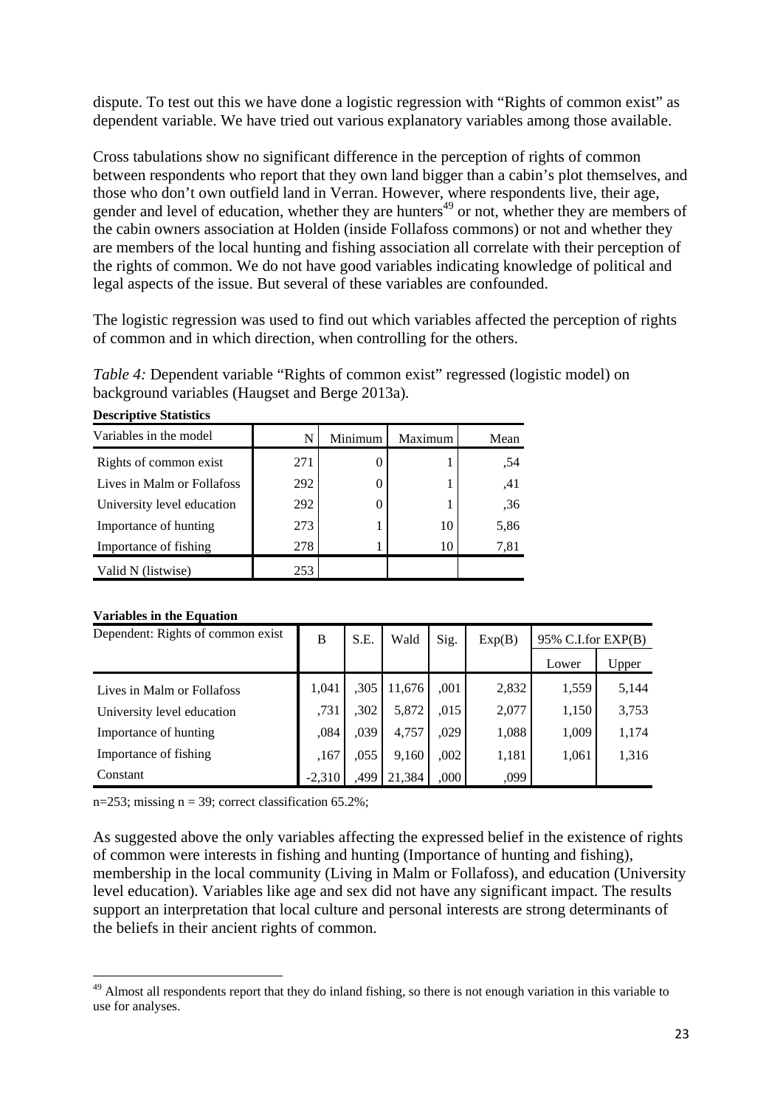dispute. To test out this we have done a logistic regression with "Rights of common exist" as dependent variable. We have tried out various explanatory variables among those available.

Cross tabulations show no significant difference in the perception of rights of common between respondents who report that they own land bigger than a cabin's plot themselves, and those who don't own outfield land in Verran. However, where respondents live, their age, gender and level of education, whether they are hunters<sup> $49$ </sup> or not, whether they are members of the cabin owners association at Holden (inside Follafoss commons) or not and whether they are members of the local hunting and fishing association all correlate with their perception of the rights of common. We do not have good variables indicating knowledge of political and legal aspects of the issue. But several of these variables are confounded.

The logistic regression was used to find out which variables affected the perception of rights of common and in which direction, when controlling for the others.

*Table 4:* Dependent variable "Rights of common exist" regressed (logistic model) on background variables (Haugset and Berge 2013a)*.* 

| Variables in the model     |     | Minimum | Maximum | Mean |
|----------------------------|-----|---------|---------|------|
| Rights of common exist     | 271 |         |         | .54  |
| Lives in Malm or Follafoss | 292 |         |         | .41  |
| University level education | 292 |         |         | ,36  |
| Importance of hunting      | 273 |         | 10      | 5,86 |
| Importance of fishing      | 278 |         | 10      | 7,81 |
| Valid N (listwise)         | 253 |         |         |      |

# **Descriptive Statistics**

#### **Variables in the Equation**

1

| Dependent: Rights of common exist | B        | S.E. | Wald   | Sig. | Exp(B) | $95\%$ C.I.for EXP(B) |       |
|-----------------------------------|----------|------|--------|------|--------|-----------------------|-------|
|                                   |          |      |        |      |        | Lower                 | Upper |
| Lives in Malm or Follafoss        | 1.041    | ,305 | 11,676 | ,001 | 2,832  | 1,559                 | 5,144 |
| University level education        | ,731     | ,302 | 5,872  | ,015 | 2,077  | 1,150                 | 3,753 |
| Importance of hunting             | ,084     | ,039 | 4,757  | ,029 | 1,088  | 1,009                 | 1,174 |
| Importance of fishing             | ,167     | ,055 | 9,160  | ,002 | 1,181  | 1,061                 | 1,316 |
| Constant                          | $-2,310$ | ,499 | 21,384 | ,000 | ,099   |                       |       |

n=253; missing  $n = 39$ ; correct classification 65.2%;

As suggested above the only variables affecting the expressed belief in the existence of rights of common were interests in fishing and hunting (Importance of hunting and fishing), membership in the local community (Living in Malm or Follafoss), and education (University level education). Variables like age and sex did not have any significant impact. The results support an interpretation that local culture and personal interests are strong determinants of the beliefs in their ancient rights of common.

<sup>&</sup>lt;sup>49</sup> Almost all respondents report that they do inland fishing, so there is not enough variation in this variable to use for analyses.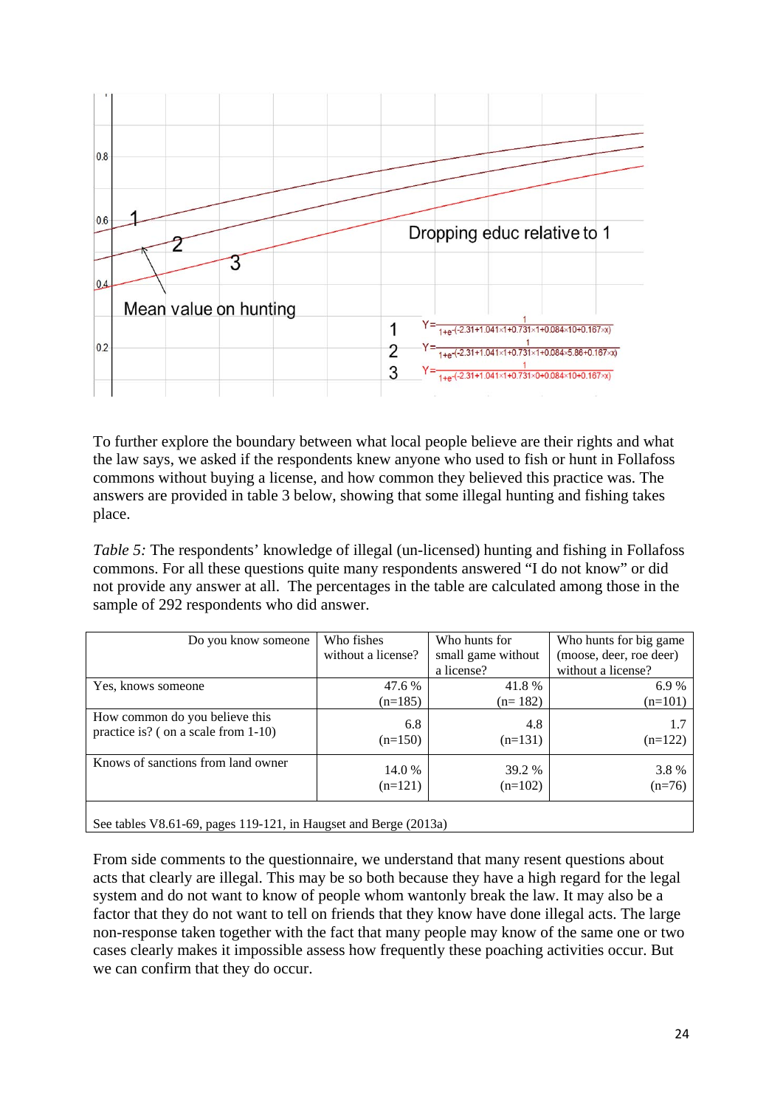

To further explore the boundary between what local people believe are their rights and what the law says, we asked if the respondents knew anyone who used to fish or hunt in Follafoss commons without buying a license, and how common they believed this practice was. The answers are provided in table 3 below, showing that some illegal hunting and fishing takes place.

*Table 5:* The respondents' knowledge of illegal (un-licensed) hunting and fishing in Follafoss commons. For all these questions quite many respondents answered "I do not know" or did not provide any answer at all. The percentages in the table are calculated among those in the sample of 292 respondents who did answer.

| Do you know someone                                                   | Who fishes          | Who hunts for       | Who hunts for big game  |  |
|-----------------------------------------------------------------------|---------------------|---------------------|-------------------------|--|
|                                                                       | without a license?  | small game without  | (moose, deer, roe deer) |  |
|                                                                       |                     | a license?          | without a license?      |  |
| Yes, knows someone                                                    | 47.6 %              | 41.8%               | 6.9%                    |  |
|                                                                       | $(n=185)$           | $(n=182)$           | $(n=101)$               |  |
| How common do you believe this<br>practice is? (on a scale from 1-10) | 6.8<br>$(n=150)$    | 4.8<br>$(n=131)$    | 1.7<br>$(n=122)$        |  |
| Knows of sanctions from land owner                                    | 14.0 %<br>$(n=121)$ | 39.2 %<br>$(n=102)$ | 3.8%<br>$(n=76)$        |  |
|                                                                       |                     |                     |                         |  |

See tables V8.61-69, pages 119-121, in Haugset and Berge (2013a)

From side comments to the questionnaire, we understand that many resent questions about acts that clearly are illegal. This may be so both because they have a high regard for the legal system and do not want to know of people whom wantonly break the law. It may also be a factor that they do not want to tell on friends that they know have done illegal acts. The large non-response taken together with the fact that many people may know of the same one or two cases clearly makes it impossible assess how frequently these poaching activities occur. But we can confirm that they do occur.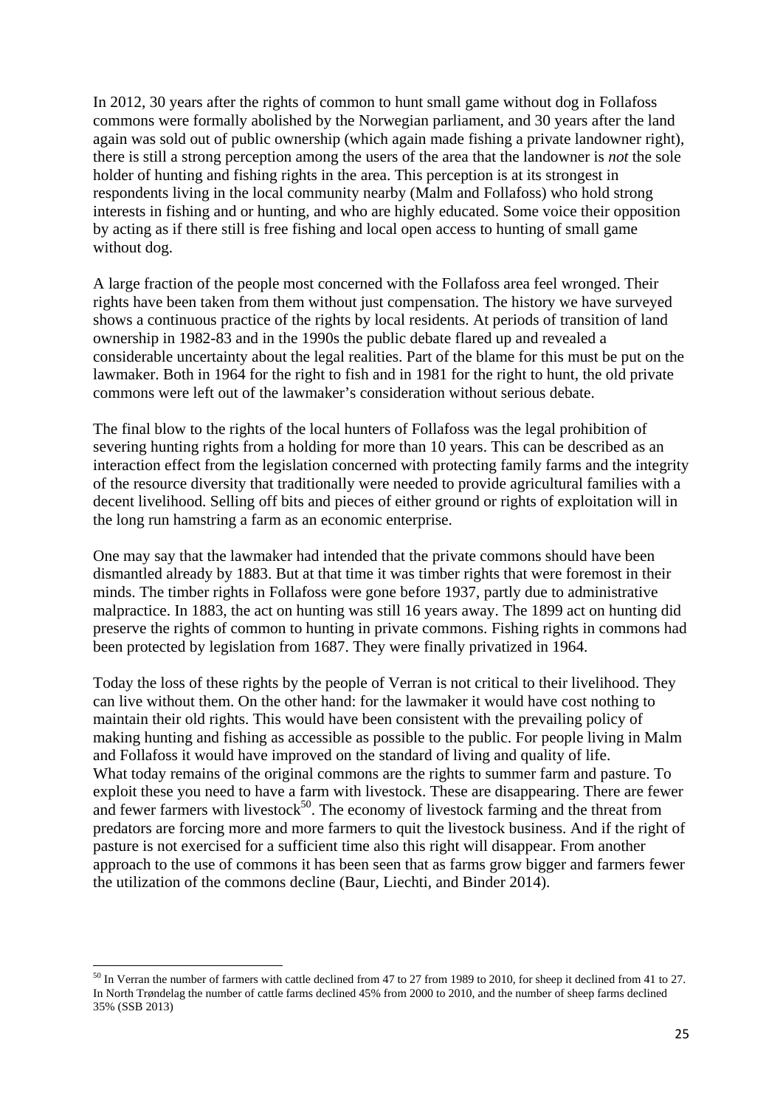In 2012, 30 years after the rights of common to hunt small game without dog in Follafoss commons were formally abolished by the Norwegian parliament, and 30 years after the land again was sold out of public ownership (which again made fishing a private landowner right), there is still a strong perception among the users of the area that the landowner is *not* the sole holder of hunting and fishing rights in the area. This perception is at its strongest in respondents living in the local community nearby (Malm and Follafoss) who hold strong interests in fishing and or hunting, and who are highly educated. Some voice their opposition by acting as if there still is free fishing and local open access to hunting of small game without dog.

A large fraction of the people most concerned with the Follafoss area feel wronged. Their rights have been taken from them without just compensation. The history we have surveyed shows a continuous practice of the rights by local residents. At periods of transition of land ownership in 1982-83 and in the 1990s the public debate flared up and revealed a considerable uncertainty about the legal realities. Part of the blame for this must be put on the lawmaker. Both in 1964 for the right to fish and in 1981 for the right to hunt, the old private commons were left out of the lawmaker's consideration without serious debate.

The final blow to the rights of the local hunters of Follafoss was the legal prohibition of severing hunting rights from a holding for more than 10 years. This can be described as an interaction effect from the legislation concerned with protecting family farms and the integrity of the resource diversity that traditionally were needed to provide agricultural families with a decent livelihood. Selling off bits and pieces of either ground or rights of exploitation will in the long run hamstring a farm as an economic enterprise.

One may say that the lawmaker had intended that the private commons should have been dismantled already by 1883. But at that time it was timber rights that were foremost in their minds. The timber rights in Follafoss were gone before 1937, partly due to administrative malpractice. In 1883, the act on hunting was still 16 years away. The 1899 act on hunting did preserve the rights of common to hunting in private commons. Fishing rights in commons had been protected by legislation from 1687. They were finally privatized in 1964.

Today the loss of these rights by the people of Verran is not critical to their livelihood. They can live without them. On the other hand: for the lawmaker it would have cost nothing to maintain their old rights. This would have been consistent with the prevailing policy of making hunting and fishing as accessible as possible to the public. For people living in Malm and Follafoss it would have improved on the standard of living and quality of life. What today remains of the original commons are the rights to summer farm and pasture. To exploit these you need to have a farm with livestock. These are disappearing. There are fewer and fewer farmers with livestock $50$ . The economy of livestock farming and the threat from predators are forcing more and more farmers to quit the livestock business. And if the right of pasture is not exercised for a sufficient time also this right will disappear. From another approach to the use of commons it has been seen that as farms grow bigger and farmers fewer the utilization of the commons decline (Baur, Liechti, and Binder 2014).

<sup>&</sup>lt;sup>50</sup> In Verran the number of farmers with cattle declined from 47 to 27 from 1989 to 2010, for sheep it declined from 41 to 27. In North Trøndelag the number of cattle farms declined 45% from 2000 to 2010, and the number of sheep farms declined 35% (SSB 2013)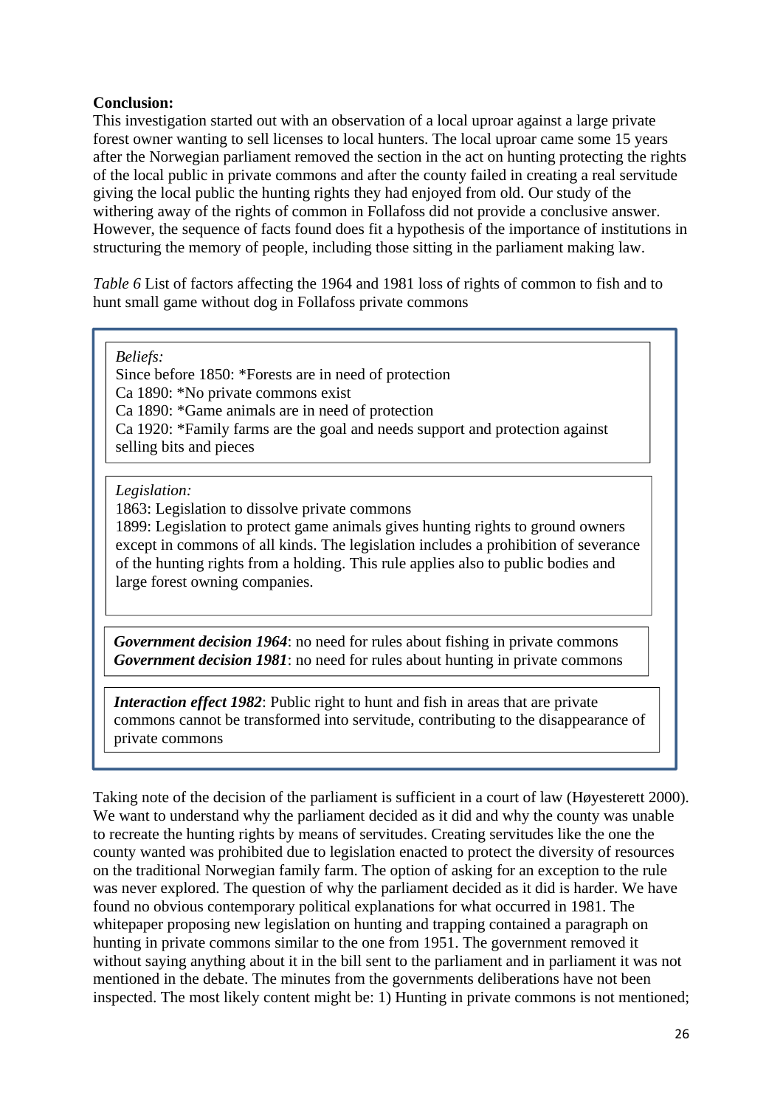# **Conclusion:**

This investigation started out with an observation of a local uproar against a large private forest owner wanting to sell licenses to local hunters. The local uproar came some 15 years after the Norwegian parliament removed the section in the act on hunting protecting the rights of the local public in private commons and after the county failed in creating a real servitude giving the local public the hunting rights they had enjoyed from old. Our study of the withering away of the rights of common in Follafoss did not provide a conclusive answer. However, the sequence of facts found does fit a hypothesis of the importance of institutions in structuring the memory of people, including those sitting in the parliament making law.

*Table 6* List of factors affecting the 1964 and 1981 loss of rights of common to fish and to hunt small game without dog in Follafoss private commons

*Beliefs:* 

Since before 1850: \*Forests are in need of protection Ca 1890: \*No private commons exist Ca 1890: \*Game animals are in need of protection Ca 1920: \*Family farms are the goal and needs support and protection against selling bits and pieces

## *Legislation:*

1863: Legislation to dissolve private commons

1899: Legislation to protect game animals gives hunting rights to ground owners except in commons of all kinds. The legislation includes a prohibition of severance of the hunting rights from a holding. This rule applies also to public bodies and large forest owning companies.

*Government decision 1964*: no need for rules about fishing in private commons *Government decision 1981*: no need for rules about hunting in private commons

*Interaction effect 1982*: Public right to hunt and fish in areas that are private commons cannot be transformed into servitude, contributing to the disappearance of private commons

Taking note of the decision of the parliament is sufficient in a court of law (Høyesterett 2000). We want to understand why the parliament decided as it did and why the county was unable to recreate the hunting rights by means of servitudes. Creating servitudes like the one the county wanted was prohibited due to legislation enacted to protect the diversity of resources on the traditional Norwegian family farm. The option of asking for an exception to the rule was never explored. The question of why the parliament decided as it did is harder. We have found no obvious contemporary political explanations for what occurred in 1981. The whitepaper proposing new legislation on hunting and trapping contained a paragraph on hunting in private commons similar to the one from 1951. The government removed it without saying anything about it in the bill sent to the parliament and in parliament it was not mentioned in the debate. The minutes from the governments deliberations have not been inspected. The most likely content might be: 1) Hunting in private commons is not mentioned;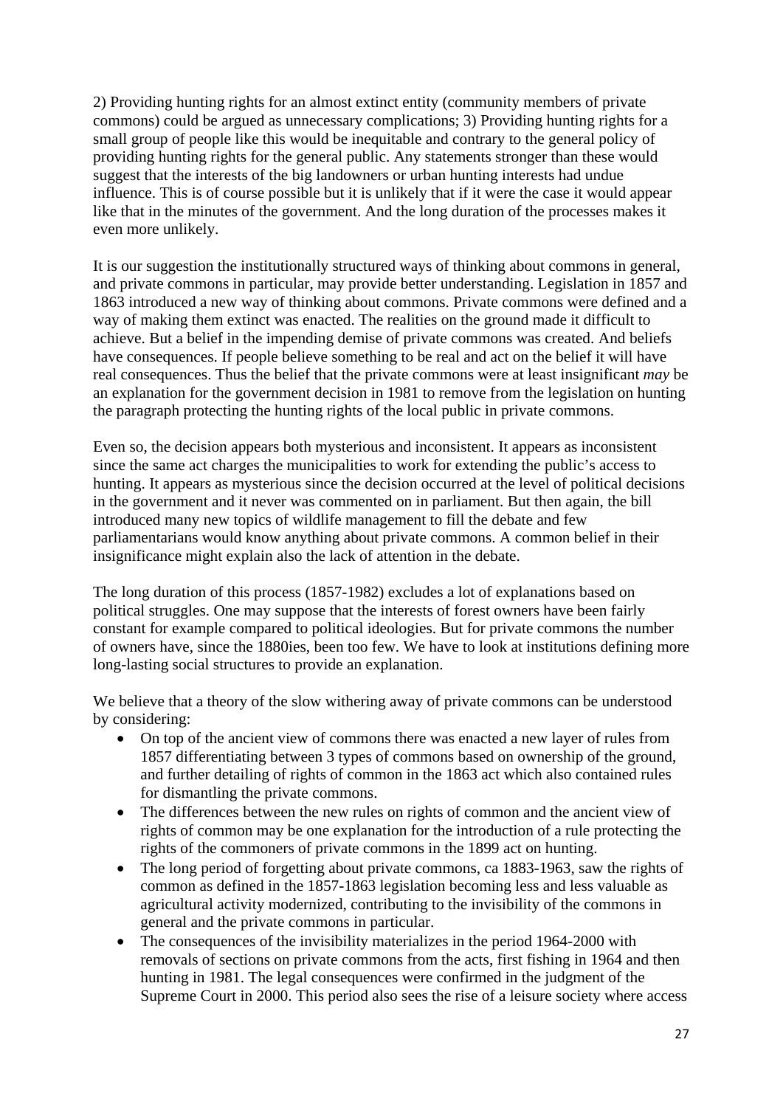2) Providing hunting rights for an almost extinct entity (community members of private commons) could be argued as unnecessary complications; 3) Providing hunting rights for a small group of people like this would be inequitable and contrary to the general policy of providing hunting rights for the general public. Any statements stronger than these would suggest that the interests of the big landowners or urban hunting interests had undue influence. This is of course possible but it is unlikely that if it were the case it would appear like that in the minutes of the government. And the long duration of the processes makes it even more unlikely.

It is our suggestion the institutionally structured ways of thinking about commons in general, and private commons in particular, may provide better understanding. Legislation in 1857 and 1863 introduced a new way of thinking about commons. Private commons were defined and a way of making them extinct was enacted. The realities on the ground made it difficult to achieve. But a belief in the impending demise of private commons was created. And beliefs have consequences. If people believe something to be real and act on the belief it will have real consequences. Thus the belief that the private commons were at least insignificant *may* be an explanation for the government decision in 1981 to remove from the legislation on hunting the paragraph protecting the hunting rights of the local public in private commons.

Even so, the decision appears both mysterious and inconsistent. It appears as inconsistent since the same act charges the municipalities to work for extending the public's access to hunting. It appears as mysterious since the decision occurred at the level of political decisions in the government and it never was commented on in parliament. But then again, the bill introduced many new topics of wildlife management to fill the debate and few parliamentarians would know anything about private commons. A common belief in their insignificance might explain also the lack of attention in the debate.

The long duration of this process (1857-1982) excludes a lot of explanations based on political struggles. One may suppose that the interests of forest owners have been fairly constant for example compared to political ideologies. But for private commons the number of owners have, since the 1880ies, been too few. We have to look at institutions defining more long-lasting social structures to provide an explanation.

We believe that a theory of the slow withering away of private commons can be understood by considering:

- On top of the ancient view of commons there was enacted a new layer of rules from 1857 differentiating between 3 types of commons based on ownership of the ground, and further detailing of rights of common in the 1863 act which also contained rules for dismantling the private commons.
- The differences between the new rules on rights of common and the ancient view of rights of common may be one explanation for the introduction of a rule protecting the rights of the commoners of private commons in the 1899 act on hunting.
- The long period of forgetting about private commons, ca 1883-1963, saw the rights of common as defined in the 1857-1863 legislation becoming less and less valuable as agricultural activity modernized, contributing to the invisibility of the commons in general and the private commons in particular.
- The consequences of the invisibility materializes in the period 1964-2000 with removals of sections on private commons from the acts, first fishing in 1964 and then hunting in 1981. The legal consequences were confirmed in the judgment of the Supreme Court in 2000. This period also sees the rise of a leisure society where access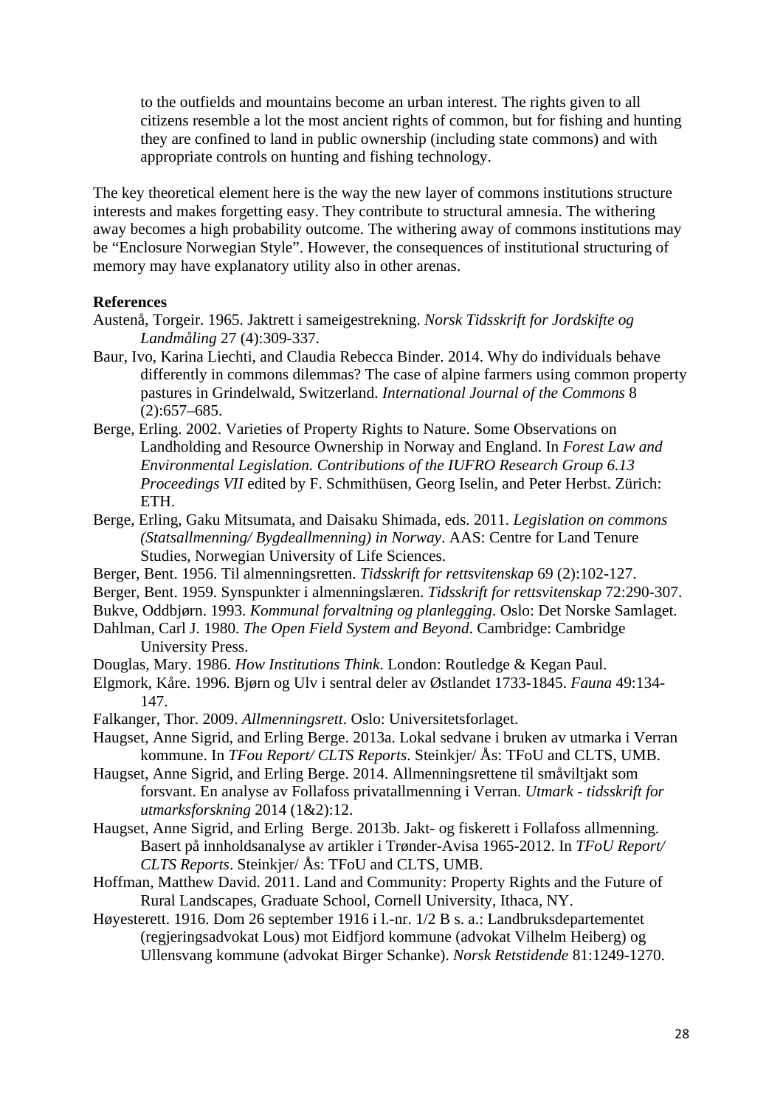to the outfields and mountains become an urban interest. The rights given to all citizens resemble a lot the most ancient rights of common, but for fishing and hunting they are confined to land in public ownership (including state commons) and with appropriate controls on hunting and fishing technology.

The key theoretical element here is the way the new layer of commons institutions structure interests and makes forgetting easy. They contribute to structural amnesia. The withering away becomes a high probability outcome. The withering away of commons institutions may be "Enclosure Norwegian Style". However, the consequences of institutional structuring of memory may have explanatory utility also in other arenas.

#### **References**

- Austenå, Torgeir. 1965. Jaktrett i sameigestrekning. *Norsk Tidsskrift for Jordskifte og Landmåling* 27 (4):309-337.
- Baur, Ivo, Karina Liechti, and Claudia Rebecca Binder. 2014. Why do individuals behave differently in commons dilemmas? The case of alpine farmers using common property pastures in Grindelwald, Switzerland. *International Journal of the Commons* 8 (2):657–685.
- Berge, Erling. 2002. Varieties of Property Rights to Nature. Some Observations on Landholding and Resource Ownership in Norway and England. In *Forest Law and Environmental Legislation. Contributions of the IUFRO Research Group 6.13 Proceedings VII* edited by F. Schmithüsen, Georg Iselin, and Peter Herbst. Zürich: ETH.
- Berge, Erling, Gaku Mitsumata, and Daisaku Shimada, eds. 2011. *Legislation on commons (Statsallmenning/ Bygdeallmenning) in Norway*. AAS: Centre for Land Tenure Studies, Norwegian University of Life Sciences.
- Berger, Bent. 1956. Til almenningsretten. *Tidsskrift for rettsvitenskap* 69 (2):102-127.
- Berger, Bent. 1959. Synspunkter i almenningslæren. *Tidsskrift for rettsvitenskap* 72:290-307.
- Bukve, Oddbjørn. 1993. *Kommunal forvaltning og planlegging*. Oslo: Det Norske Samlaget.
- Dahlman, Carl J. 1980. *The Open Field System and Beyond*. Cambridge: Cambridge University Press.
- Douglas, Mary. 1986. *How Institutions Think*. London: Routledge & Kegan Paul.
- Elgmork, Kåre. 1996. Bjørn og Ulv i sentral deler av Østlandet 1733-1845. *Fauna* 49:134- 147.
- Falkanger, Thor. 2009. *Allmenningsrett*. Oslo: Universitetsforlaget.
- Haugset, Anne Sigrid, and Erling Berge. 2013a. Lokal sedvane i bruken av utmarka i Verran kommune. In *TFou Report/ CLTS Reports*. Steinkjer/ Ås: TFoU and CLTS, UMB.
- Haugset, Anne Sigrid, and Erling Berge. 2014. Allmenningsrettene til småviltjakt som forsvant. En analyse av Follafoss privatallmenning i Verran. *Utmark - tidsskrift for utmarksforskning* 2014 (1&2):12.
- Haugset, Anne Sigrid, and Erling Berge. 2013b. Jakt- og fiskerett i Follafoss allmenning. Basert på innholdsanalyse av artikler i Trønder-Avisa 1965-2012. In *TFoU Report/ CLTS Reports*. Steinkjer/ Ås: TFoU and CLTS, UMB.
- Hoffman, Matthew David. 2011. Land and Community: Property Rights and the Future of Rural Landscapes, Graduate School, Cornell University, Ithaca, NY.
- Høyesterett. 1916. Dom 26 september 1916 i l.-nr. 1/2 B s. a.: Landbruksdepartementet (regjeringsadvokat Lous) mot Eidfjord kommune (advokat Vilhelm Heiberg) og Ullensvang kommune (advokat Birger Schanke). *Norsk Retstidende* 81:1249-1270.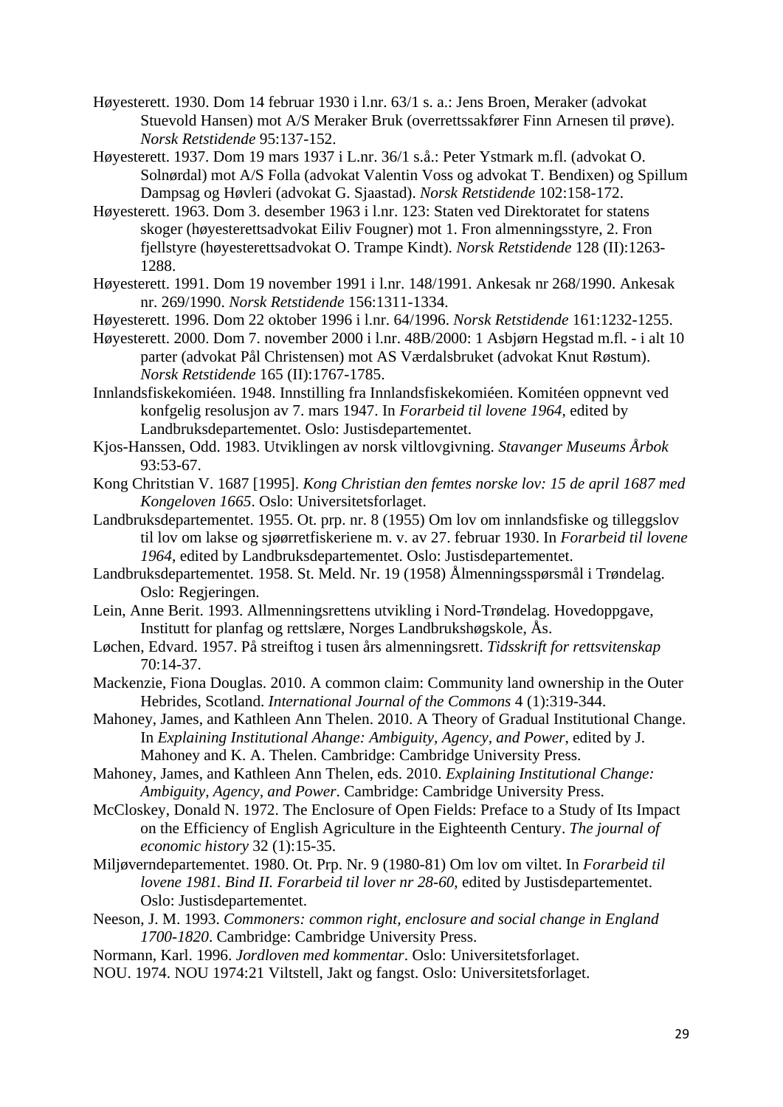- Høyesterett. 1930. Dom 14 februar 1930 i l.nr. 63/1 s. a.: Jens Broen, Meraker (advokat Stuevold Hansen) mot A/S Meraker Bruk (overrettssakfører Finn Arnesen til prøve). *Norsk Retstidende* 95:137-152.
- Høyesterett. 1937. Dom 19 mars 1937 i L.nr. 36/1 s.å.: Peter Ystmark m.fl. (advokat O. Solnørdal) mot A/S Folla (advokat Valentin Voss og advokat T. Bendixen) og Spillum Dampsag og Høvleri (advokat G. Sjaastad). *Norsk Retstidende* 102:158-172.
- Høyesterett. 1963. Dom 3. desember 1963 i l.nr. 123: Staten ved Direktoratet for statens skoger (høyesterettsadvokat Eiliv Fougner) mot 1. Fron almenningsstyre, 2. Fron fjellstyre (høyesterettsadvokat O. Trampe Kindt). *Norsk Retstidende* 128 (II):1263- 1288.
- Høyesterett. 1991. Dom 19 november 1991 i l.nr. 148/1991. Ankesak nr 268/1990. Ankesak nr. 269/1990. *Norsk Retstidende* 156:1311-1334.
- Høyesterett. 1996. Dom 22 oktober 1996 i l.nr. 64/1996. *Norsk Retstidende* 161:1232-1255.
- Høyesterett. 2000. Dom 7. november 2000 i l.nr. 48B/2000: 1 Asbjørn Hegstad m.fl. i alt 10 parter (advokat Pål Christensen) mot AS Værdalsbruket (advokat Knut Røstum). *Norsk Retstidende* 165 (II):1767-1785.
- Innlandsfiskekomiéen. 1948. Innstilling fra Innlandsfiskekomiéen. Komitéen oppnevnt ved konfgelig resolusjon av 7. mars 1947. In *Forarbeid til lovene 1964*, edited by Landbruksdepartementet. Oslo: Justisdepartementet.
- Kjos-Hanssen, Odd. 1983. Utviklingen av norsk viltlovgivning. *Stavanger Museums Årbok* 93:53-67.
- Kong Chritstian V. 1687 [1995]. *Kong Christian den femtes norske lov: 15 de april 1687 med Kongeloven 1665*. Oslo: Universitetsforlaget.
- Landbruksdepartementet. 1955. Ot. prp. nr. 8 (1955) Om lov om innlandsfiske og tilleggslov til lov om lakse og sjøørretfiskeriene m. v. av 27. februar 1930. In *Forarbeid til lovene 1964*, edited by Landbruksdepartementet. Oslo: Justisdepartementet.
- Landbruksdepartementet. 1958. St. Meld. Nr. 19 (1958) Ålmenningsspørsmål i Trøndelag. Oslo: Regjeringen.
- Lein, Anne Berit. 1993. Allmenningsrettens utvikling i Nord-Trøndelag. Hovedoppgave, Institutt for planfag og rettslære, Norges Landbrukshøgskole, Ås.
- Løchen, Edvard. 1957. På streiftog i tusen års almenningsrett. *Tidsskrift for rettsvitenskap* 70:14-37.
- Mackenzie, Fiona Douglas. 2010. A common claim: Community land ownership in the Outer Hebrides, Scotland. *International Journal of the Commons* 4 (1):319-344.
- Mahoney, James, and Kathleen Ann Thelen. 2010. A Theory of Gradual Institutional Change. In *Explaining Institutional Ahange: Ambiguity, Agency, and Power*, edited by J. Mahoney and K. A. Thelen. Cambridge: Cambridge University Press.
- Mahoney, James, and Kathleen Ann Thelen, eds. 2010. *Explaining Institutional Change: Ambiguity, Agency, and Power*. Cambridge: Cambridge University Press.
- McCloskey, Donald N. 1972. The Enclosure of Open Fields: Preface to a Study of Its Impact on the Efficiency of English Agriculture in the Eighteenth Century. *The journal of economic history* 32 (1):15-35.
- Miljøverndepartementet. 1980. Ot. Prp. Nr. 9 (1980-81) Om lov om viltet. In *Forarbeid til lovene 1981. Bind II. Forarbeid til lover nr 28-60*, edited by Justisdepartementet. Oslo: Justisdepartementet.
- Neeson, J. M. 1993. *Commoners: common right, enclosure and social change in England 1700-1820*. Cambridge: Cambridge University Press.
- Normann, Karl. 1996. *Jordloven med kommentar*. Oslo: Universitetsforlaget.
- NOU. 1974. NOU 1974:21 Viltstell, Jakt og fangst. Oslo: Universitetsforlaget.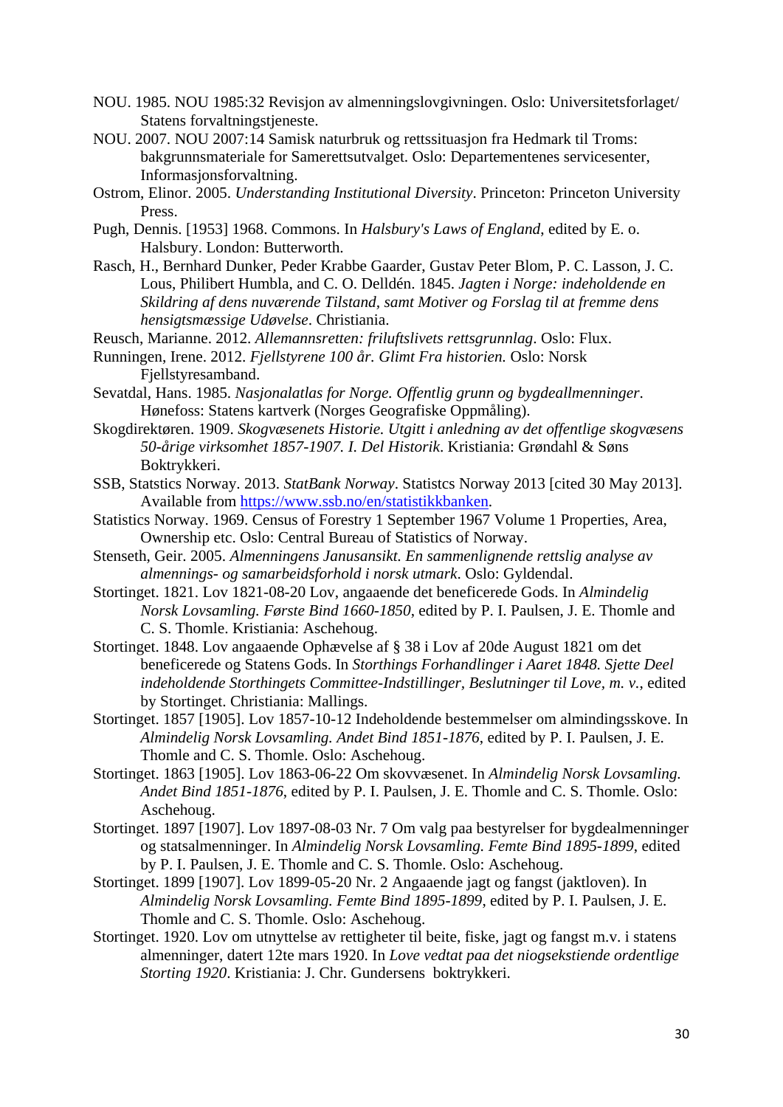- NOU. 1985. NOU 1985:32 Revisjon av almenningslovgivningen. Oslo: Universitetsforlaget/ Statens forvaltningstjeneste.
- NOU. 2007. NOU 2007:14 Samisk naturbruk og rettssituasjon fra Hedmark til Troms: bakgrunnsmateriale for Samerettsutvalget. Oslo: Departementenes servicesenter, Informasjonsforvaltning.
- Ostrom, Elinor. 2005. *Understanding Institutional Diversity*. Princeton: Princeton University Press.
- Pugh, Dennis. [1953] 1968. Commons. In *Halsbury's Laws of England*, edited by E. o. Halsbury. London: Butterworth.
- Rasch, H., Bernhard Dunker, Peder Krabbe Gaarder, Gustav Peter Blom, P. C. Lasson, J. C. Lous, Philibert Humbla, and C. O. Delldén. 1845. *Jagten i Norge: indeholdende en Skildring af dens nuværende Tilstand, samt Motiver og Forslag til at fremme dens hensigtsmæssige Udøvelse*. Christiania.
- Reusch, Marianne. 2012. *Allemannsretten: friluftslivets rettsgrunnlag*. Oslo: Flux.
- Runningen, Irene. 2012. *Fjellstyrene 100 år. Glimt Fra historien.* Oslo: Norsk Fjellstyresamband.
- Sevatdal, Hans. 1985. *Nasjonalatlas for Norge. Offentlig grunn og bygdeallmenninger*. Hønefoss: Statens kartverk (Norges Geografiske Oppmåling).
- Skogdirektøren. 1909. *Skogvæsenets Historie. Utgitt i anledning av det offentlige skogvæsens 50-årige virksomhet 1857-1907. I. Del Historik*. Kristiania: Grøndahl & Søns Boktrykkeri.
- SSB, Statstics Norway. 2013. *StatBank Norway*. Statistcs Norway 2013 [cited 30 May 2013]. Available from https://www.ssb.no/en/statistikkbanken.
- Statistics Norway. 1969. Census of Forestry 1 September 1967 Volume 1 Properties, Area, Ownership etc. Oslo: Central Bureau of Statistics of Norway.
- Stenseth, Geir. 2005. *Almenningens Janusansikt. En sammenlignende rettslig analyse av almennings- og samarbeidsforhold i norsk utmark*. Oslo: Gyldendal.
- Stortinget. 1821. Lov 1821-08-20 Lov, angaaende det beneficerede Gods. In *Almindelig Norsk Lovsamling. Første Bind 1660-1850*, edited by P. I. Paulsen, J. E. Thomle and C. S. Thomle. Kristiania: Aschehoug.
- Stortinget. 1848. Lov angaaende Ophævelse af § 38 i Lov af 20de August 1821 om det beneficerede og Statens Gods. In *Storthings Forhandlinger i Aaret 1848. Sjette Deel indeholdende Storthingets Committee-Indstillinger, Beslutninger til Love, m. v.*, edited by Stortinget. Christiania: Mallings.
- Stortinget. 1857 [1905]. Lov 1857-10-12 Indeholdende bestemmelser om almindingsskove. In *Almindelig Norsk Lovsamling. Andet Bind 1851-1876*, edited by P. I. Paulsen, J. E. Thomle and C. S. Thomle. Oslo: Aschehoug.
- Stortinget. 1863 [1905]. Lov 1863-06-22 Om skovvæsenet. In *Almindelig Norsk Lovsamling. Andet Bind 1851-1876*, edited by P. I. Paulsen, J. E. Thomle and C. S. Thomle. Oslo: Aschehoug.
- Stortinget. 1897 [1907]. Lov 1897-08-03 Nr. 7 Om valg paa bestyrelser for bygdealmenninger og statsalmenninger. In *Almindelig Norsk Lovsamling. Femte Bind 1895-1899*, edited by P. I. Paulsen, J. E. Thomle and C. S. Thomle. Oslo: Aschehoug.
- Stortinget. 1899 [1907]. Lov 1899-05-20 Nr. 2 Angaaende jagt og fangst (jaktloven). In *Almindelig Norsk Lovsamling. Femte Bind 1895-1899*, edited by P. I. Paulsen, J. E. Thomle and C. S. Thomle. Oslo: Aschehoug.
- Stortinget. 1920. Lov om utnyttelse av rettigheter til beite, fiske, jagt og fangst m.v. i statens almenninger, datert 12te mars 1920. In *Love vedtat paa det niogsekstiende ordentlige Storting 1920*. Kristiania: J. Chr. Gundersens boktrykkeri.